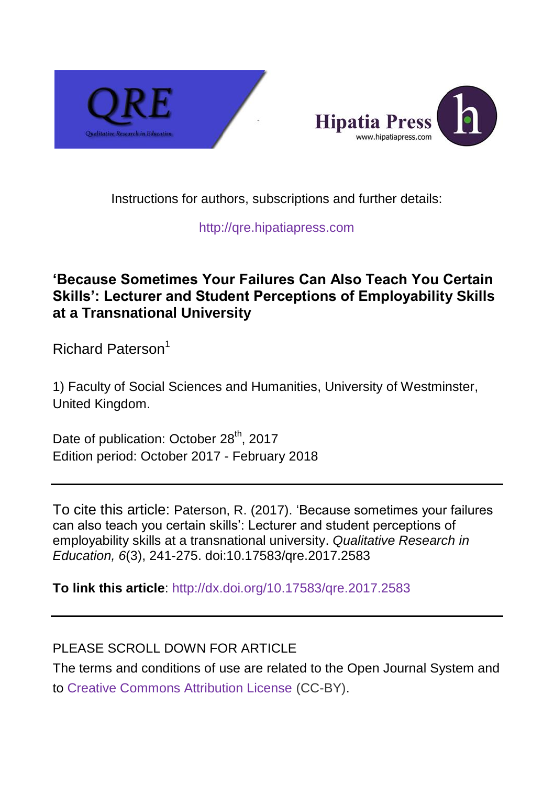



## Instructions for authors, subscriptions and further details:

[http://qre.hipatiapress.com](http://qre.hipatiapress.com/)

# **'Because Sometimes Your Failures Can Also Teach You Certain Skills': Lecturer and Student Perceptions of Employability Skills at a Transnational University**

Richard Paterson<sup>1</sup>

1) Faculty of Social Sciences and Humanities, University of Westminster, United Kingdom.

Date of publication: October 28<sup>th</sup>, 2017 Edition period: October 2017 - February 2018

To cite this article: Paterson, R. (2017). 'Because sometimes your failures can also teach you certain skills': Lecturer and student perceptions of employability skills at a transnational university. *Qualitative Research in Education, 6*(3), 241-275. doi:10.17583/qre.2017.2583

**To link this article**: <http://dx.doi.org/10.17583/qre.2017.2583>

# PLEASE SCROLL DOWN FOR ARTICLE

The terms and conditions of use are related to the Open Journal System and to [Creative Commons Attribution License](http://creativecommons.org/licenses/by/4.0/) (CC-BY).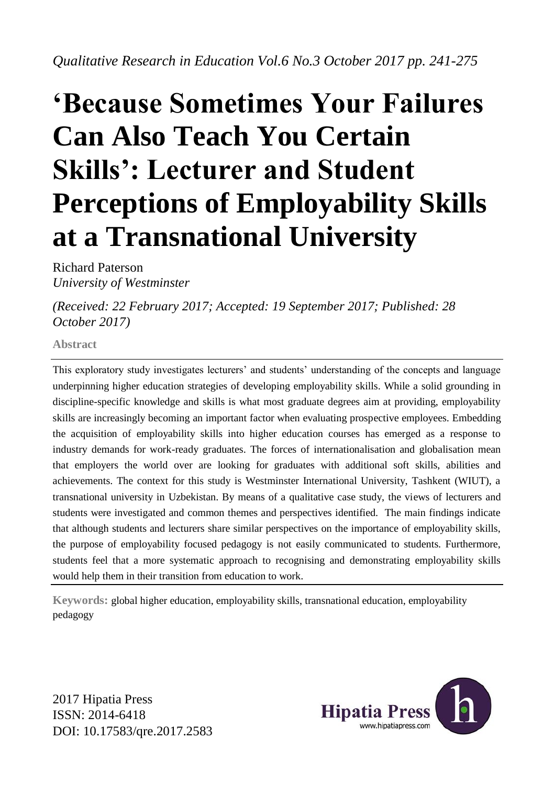# *Qualitative Research in Education Vol.6 No.3 October 2017 pp. 241-275*

# **'Because Sometimes Your Failures Can Also Teach You Certain Skills': Lecturer and Student Perceptions of Employability Skills at a Transnational University**

Richard Paterson *University of Westminster*

*(Received: 22 February 2017; Accepted: 19 September 2017; Published: 28 October 2017)*

**Abstract**

This exploratory study investigates lecturers' and students' understanding of the concepts and language underpinning higher education strategies of developing employability skills. While a solid grounding in discipline-specific knowledge and skills is what most graduate degrees aim at providing, employability skills are increasingly becoming an important factor when evaluating prospective employees. Embedding the acquisition of employability skills into higher education courses has emerged as a response to industry demands for work-ready graduates. The forces of internationalisation and globalisation mean that employers the world over are looking for graduates with additional soft skills, abilities and achievements. The context for this study is Westminster International University, Tashkent (WIUT), a transnational university in Uzbekistan. By means of a qualitative case study, the views of lecturers and students were investigated and common themes and perspectives identified. The main findings indicate that although students and lecturers share similar perspectives on the importance of employability skills, the purpose of employability focused pedagogy is not easily communicated to students. Furthermore, students feel that a more systematic approach to recognising and demonstrating employability skills would help them in their transition from education to work.

**Keywords:** global higher education, employability skills, transnational education, employability pedagogy

2017 Hipatia Press ISSN: 2014-6418 DOI: 10.17583/qre.2017.2583

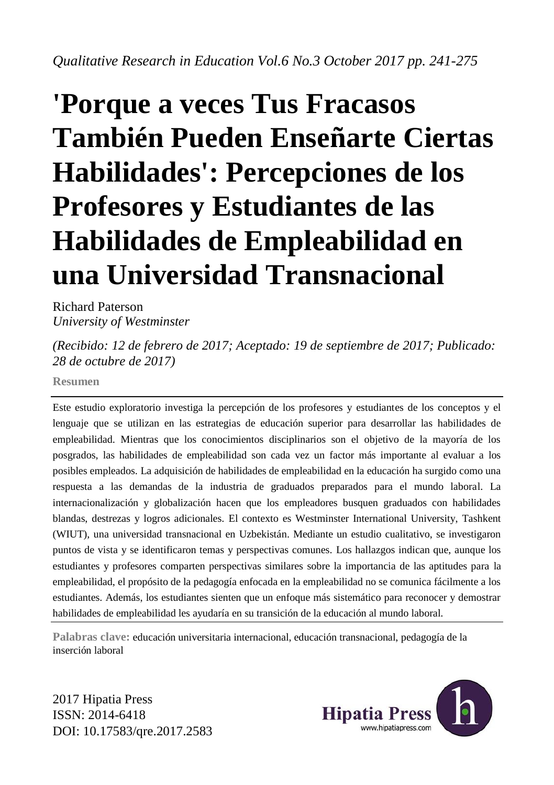# *Qualitative Research in Education Vol.6 No.3 October 2017 pp. 241-275*

# **'Porque a veces Tus Fracasos También Pueden Enseñarte Ciertas Habilidades': Percepciones de los Profesores y Estudiantes de las Habilidades de Empleabilidad en una Universidad Transnacional**

Richard Paterson *University of Westminster* 

*(Recibido: 12 de febrero de 2017; Aceptado: 19 de septiembre de 2017; Publicado: 28 de octubre de 2017)*

**Resumen**

Este estudio exploratorio investiga la percepción de los profesores y estudiantes de los conceptos y el lenguaje que se utilizan en las estrategias de educación superior para desarrollar las habilidades de empleabilidad. Mientras que los conocimientos disciplinarios son el objetivo de la mayoría de los posgrados, las habilidades de empleabilidad son cada vez un factor más importante al evaluar a los posibles empleados. La adquisición de habilidades de empleabilidad en la educación ha surgido como una respuesta a las demandas de la industria de graduados preparados para el mundo laboral. La internacionalización y globalización hacen que los empleadores busquen graduados con habilidades blandas, destrezas y logros adicionales. El contexto es Westminster International University, Tashkent (WIUT), una universidad transnacional en Uzbekistán. Mediante un estudio cualitativo, se investigaron puntos de vista y se identificaron temas y perspectivas comunes. Los hallazgos indican que, aunque los estudiantes y profesores comparten perspectivas similares sobre la importancia de las aptitudes para la empleabilidad, el propósito de la pedagogía enfocada en la empleabilidad no se comunica fácilmente a los estudiantes. Además, los estudiantes sienten que un enfoque más sistemático para reconocer y demostrar habilidades de empleabilidad les ayudaría en su transición de la educación al mundo laboral.

**Palabras clave:** educación universitaria internacional, educación transnacional, pedagogía de la inserción laboral

2017 Hipatia Press ISSN: 2014-6418 DOI: 10.17583/qre.2017.2583

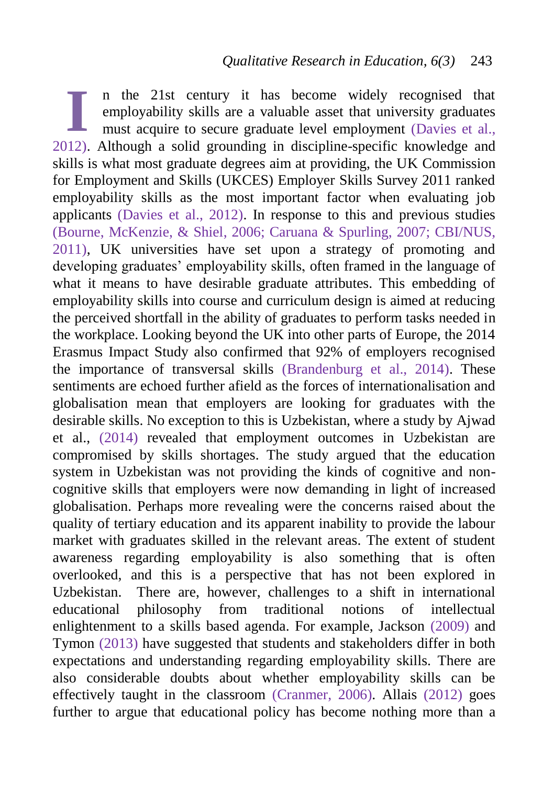n the 21st century it has become widely recognised that employability skills are a valuable asset that university graduates must acquire to secure graduate level employment [\(Davies et al.,](#page-30-0)  [2012\)](#page-30-0). Although a solid grounding in discipline-specific knowledge and skills is what most graduate degrees aim at providing, the UK Commission for Employment and Skills (UKCES) Employer Skills Survey 2011 ranked employability skills as the most important factor when evaluating job applicants [\(Davies et al., 2012\)](#page-30-0). In response to this and previous studies (Bourne, [McKenzie, & Shiel, 2006;](#page-29-0) Caruana & [Spurling, 2007;](#page-30-1) [CBI/NUS,](#page-30-2)  [2011\)](#page-30-2), UK universities have set upon a strategy of promoting and developing graduates' employability skills, often framed in the language of what it means to have desirable graduate attributes. This embedding of employability skills into course and curriculum design is aimed at reducing the perceived shortfall in the ability of graduates to perform tasks needed in the workplace. Looking beyond the UK into other parts of Europe, the 2014 Erasmus Impact Study also confirmed that 92% of employers recognised the importance of transversal skills [\(Brandenburg et al., 2014\)](#page-29-1). These sentiments are echoed further afield as the forces of internationalisation and globalisation mean that employers are looking for graduates with the desirable skills. No exception to this is Uzbekistan, where a study by Ajwad et al., [\(2014\)](#page-29-2) revealed that employment outcomes in Uzbekistan are compromised by skills shortages. The study argued that the education system in Uzbekistan was not providing the kinds of cognitive and noncognitive skills that employers were now demanding in light of increased globalisation. Perhaps more revealing were the concerns raised about the quality of tertiary education and its apparent inability to provide the labour market with graduates skilled in the relevant areas. The extent of student awareness regarding employability is also something that is often overlooked, and this is a perspective that has not been explored in Uzbekistan. There are, however, challenges to a shift in international educational philosophy from traditional notions of intellectual enlightenment to a skills based agenda. For example, Jackson [\(2009\)](#page-32-0) and Tymon [\(2013\)](#page-34-0) have suggested that students and stakeholders differ in both expectations and understanding regarding employability skills. There are also considerable doubts about whether employability skills can be effectively taught in the classroom [\(Cranmer, 2006\)](#page-30-3). Allais [\(2012\)](#page-29-3) goes further to argue that educational policy has become nothing more than a **I**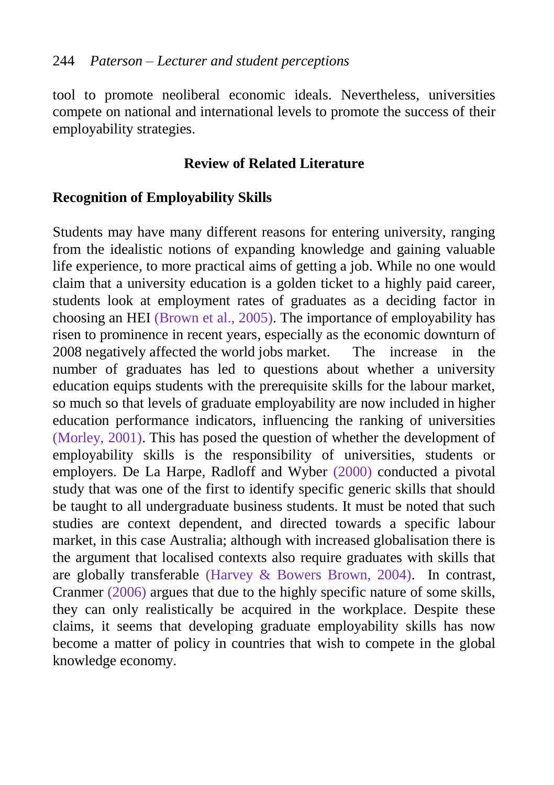tool to promote neoliberal economic ideals. Nevertheless, universities compete on national and international levels to promote the success of their employability strategies.

## **Review of Related Literature**

## **Recognition of Employability Skills**

Students may have many different reasons for entering university, ranging from the idealistic notions of expanding knowledge and gaining valuable life experience, to more practical aims of getting a job. While no one would claim that a university education is a golden ticket to a highly paid career, students look at employment rates of graduates as a deciding factor in choosing an HEI [\(Brown et al., 2005\)](#page-30-4). The importance of employability has risen to prominence in recent years, especially as the economic downturn of 2008 negatively affected the world jobs market. The increase in the number of graduates has led to questions about whether a university education equips students with the prerequisite skills for the labour market, so much so that levels of graduate employability are now included in higher education performance indicators, influencing the ranking of universities [\(Morley, 2001\)](#page-33-0). This has posed the question of whether the development of employability skills is the responsibility of universities, students or employers. De La Harpe, Radloff and Wyber [\(2000\)](#page-30-5) conducted a pivotal study that was one of the first to identify specific generic skills that should be taught to all undergraduate business students. It must be noted that such studies are context dependent, and directed towards a specific labour market, in this case Australia; although with increased globalisation there is the argument that localised contexts also require graduates with skills that are globally transferable (Harvey & [Bowers Brown, 2004\)](#page-31-0). In contrast, Cranmer [\(2006\)](#page-30-3) argues that due to the highly specific nature of some skills, they can only realistically be acquired in the workplace. Despite these claims, it seems that developing graduate employability skills has now become a matter of policy in countries that wish to compete in the global knowledge economy.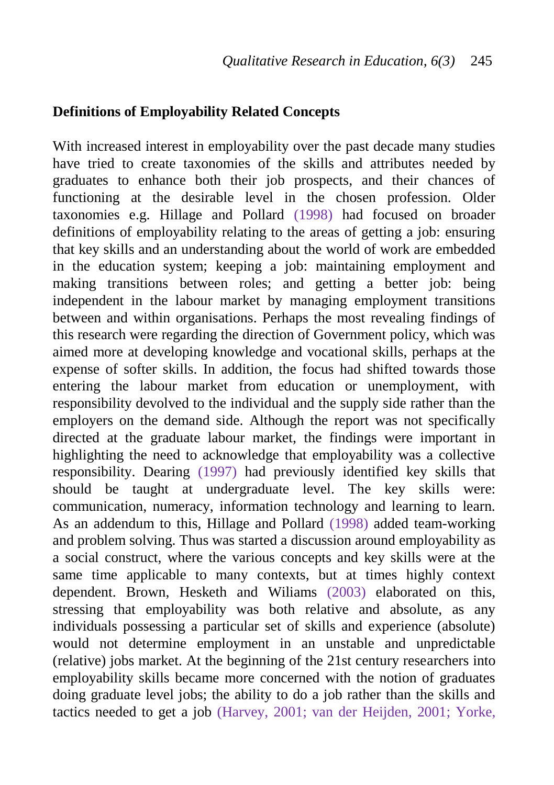### **Definitions of Employability Related Concepts**

With increased interest in employability over the past decade many studies have tried to create taxonomies of the skills and attributes needed by graduates to enhance both their job prospects, and their chances of functioning at the desirable level in the chosen profession. Older taxonomies e.g. Hillage and Pollard [\(1998\)](#page-31-1) had focused on broader definitions of employability relating to the areas of getting a job: ensuring that key skills and an understanding about the world of work are embedded in the education system; keeping a job: maintaining employment and making transitions between roles; and getting a better job: being independent in the labour market by managing employment transitions between and within organisations. Perhaps the most revealing findings of this research were regarding the direction of Government policy, which was aimed more at developing knowledge and vocational skills, perhaps at the expense of softer skills. In addition, the focus had shifted towards those entering the labour market from education or unemployment, with responsibility devolved to the individual and the supply side rather than the employers on the demand side. Although the report was not specifically directed at the graduate labour market, the findings were important in highlighting the need to acknowledge that employability was a collective responsibility. Dearing [\(1997\)](#page-30-6) had previously identified key skills that should be taught at undergraduate level. The key skills were: communication, numeracy, information technology and learning to learn. As an addendum to this, Hillage and Pollard [\(1998\)](#page-31-1) added team-working and problem solving. Thus was started a discussion around employability as a social construct, where the various concepts and key skills were at the same time applicable to many contexts, but at times highly context dependent. Brown, Hesketh and Wiliams [\(2003\)](#page-30-7) elaborated on this, stressing that employability was both relative and absolute, as any individuals possessing a particular set of skills and experience (absolute) would not determine employment in an unstable and unpredictable (relative) jobs market. At the beginning of the 21st century researchers into employability skills became more concerned with the notion of graduates doing graduate level jobs; the ability to do a job rather than the skills and tactics needed to get a job [\(Harvey, 2001;](#page-31-2) [van der Heijden, 2001;](#page-34-1) [Yorke,](#page-34-2)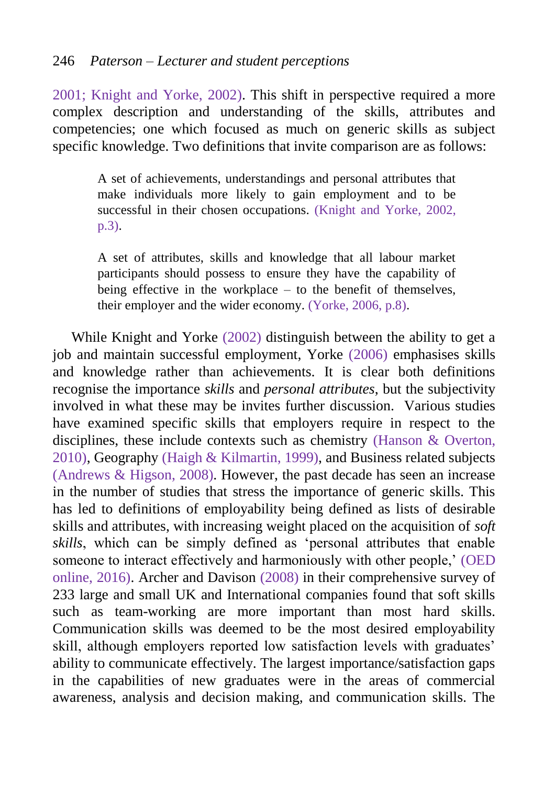[2001;](#page-34-2) [Knight and Yorke, 2002\)](#page-32-1). This shift in perspective required a more complex description and understanding of the skills, attributes and competencies; one which focused as much on generic skills as subject specific knowledge. Two definitions that invite comparison are as follows:

> A set of achievements, understandings and personal attributes that make individuals more likely to gain employment and to be successful in their chosen occupations. [\(Knight and Yorke, 2002,](#page-32-1)  [p.3\)](#page-32-1).

> A set of attributes, skills and knowledge that all labour market participants should possess to ensure they have the capability of being effective in the workplace – to the benefit of themselves, their employer and the wider economy. [\(Yorke, 2006, p.8\)](#page-34-3).

While Knight and Yorke [\(2002\)](#page-32-1) distinguish between the ability to get a job and maintain successful employment, Yorke [\(2006\)](#page-34-3) emphasises skills and knowledge rather than achievements. It is clear both definitions recognise the importance *skills* and *personal attributes*, but the subjectivity involved in what these may be invites further discussion. Various studies have examined specific skills that employers require in respect to the disciplines, these include contexts such as chemistry [\(Hanson &](#page-31-3) Overton, [2010\)](#page-31-3), Geography (Haigh & [Kilmartin, 1999\)](#page-31-4), and Business related subjects (Andrews & [Higson, 2008\)](#page-29-4). However, the past decade has seen an increase in the number of studies that stress the importance of generic skills. This has led to definitions of employability being defined as lists of desirable skills and attributes, with increasing weight placed on the acquisition of *soft skills*, which can be simply defined as 'personal attributes that enable someone to interact effectively and harmoniously with other people,' [\(OED](#page-33-1)  [online, 2016\)](#page-33-1). Archer and Davison [\(2008\)](#page-29-5) in their comprehensive survey of 233 large and small UK and International companies found that soft skills such as team-working are more important than most hard skills. Communication skills was deemed to be the most desired employability skill, although employers reported low satisfaction levels with graduates' ability to communicate effectively. The largest importance/satisfaction gaps in the capabilities of new graduates were in the areas of commercial awareness, analysis and decision making, and communication skills. The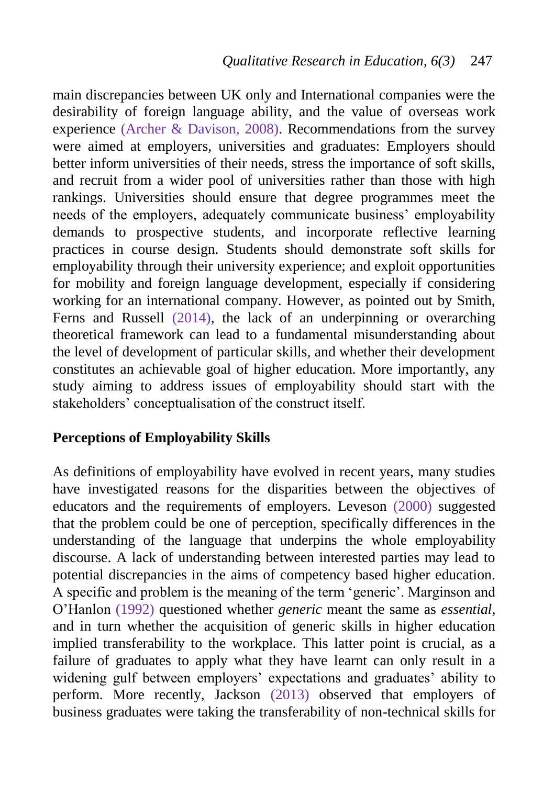main discrepancies between UK only and International companies were the desirability of foreign language ability, and the value of overseas work experience (Archer & [Davison, 2008\)](#page-29-5). Recommendations from the survey were aimed at employers, universities and graduates: Employers should better inform universities of their needs, stress the importance of soft skills, and recruit from a wider pool of universities rather than those with high rankings. Universities should ensure that degree programmes meet the needs of the employers, adequately communicate business' employability demands to prospective students, and incorporate reflective learning practices in course design. Students should demonstrate soft skills for employability through their university experience; and exploit opportunities for mobility and foreign language development, especially if considering working for an international company. However, as pointed out by Smith, Ferns and Russell [\(2014\)](#page-33-2), the lack of an underpinning or overarching theoretical framework can lead to a fundamental misunderstanding about the level of development of particular skills, and whether their development constitutes an achievable goal of higher education. More importantly, any study aiming to address issues of employability should start with the stakeholders' conceptualisation of the construct itself.

### **Perceptions of Employability Skills**

As definitions of employability have evolved in recent years, many studies have investigated reasons for the disparities between the objectives of educators and the requirements of employers. Leveson [\(2000\)](#page-32-2) suggested that the problem could be one of perception, specifically differences in the understanding of the language that underpins the whole employability discourse. A lack of understanding between interested parties may lead to potential discrepancies in the aims of competency based higher education. A specific and problem is the meaning of the term 'generic'. Marginson and O'Hanlon [\(1992\)](#page-32-3) questioned whether *generic* meant the same as *essential*, and in turn whether the acquisition of generic skills in higher education implied transferability to the workplace. This latter point is crucial, as a failure of graduates to apply what they have learnt can only result in a widening gulf between employers' expectations and graduates' ability to perform. More recently, Jackson [\(2013\)](#page-32-4) observed that employers of business graduates were taking the transferability of non-technical skills for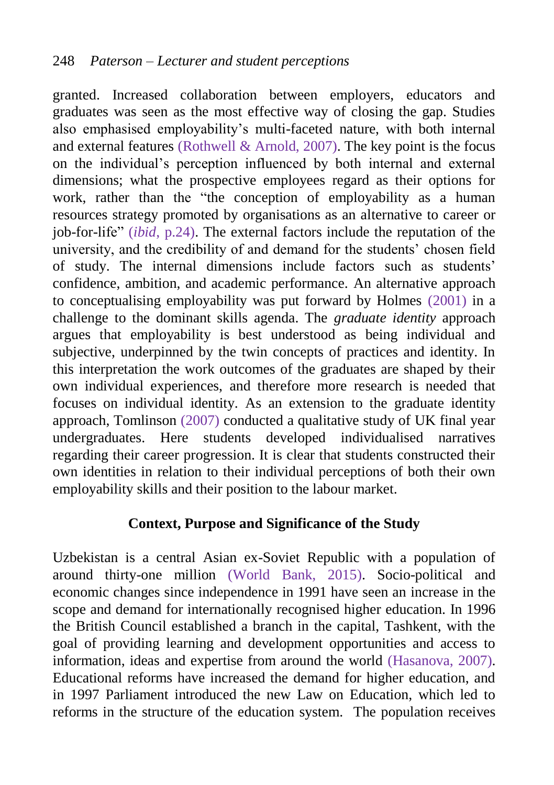granted. Increased collaboration between employers, educators and graduates was seen as the most effective way of closing the gap. Studies also emphasised employability's multi-faceted nature, with both internal and external features (Rothwell & [Arnold, 2007\)](#page-33-3). The key point is the focus on the individual's perception influenced by both internal and external dimensions; what the prospective employees regard as their options for work, rather than the "the conception of employability as a human resources strategy promoted by organisations as an alternative to career or job-for-life" (*ibid*[, p.24\)](#page-33-3). The external factors include the reputation of the university, and the credibility of and demand for the students' chosen field of study. The internal dimensions include factors such as students' confidence, ambition, and academic performance. An alternative approach to conceptualising employability was put forward by Holmes [\(2001\)](#page-31-5) in a challenge to the dominant skills agenda. The *graduate identity* approach argues that employability is best understood as being individual and subjective, underpinned by the twin concepts of practices and identity. In this interpretation the work outcomes of the graduates are shaped by their own individual experiences, and therefore more research is needed that focuses on individual identity. As an extension to the graduate identity approach, Tomlinson [\(2007\)](#page-33-4) conducted a qualitative study of UK final year undergraduates. Here students developed individualised narratives regarding their career progression. It is clear that students constructed their own identities in relation to their individual perceptions of both their own employability skills and their position to the labour market.

## **Context, Purpose and Significance of the Study**

Uzbekistan is a central Asian ex-Soviet Republic with a population of around thirty-one million [\(World Bank, 2015\)](#page-34-4). Socio-political and economic changes since independence in 1991 have seen an increase in the scope and demand for internationally recognised higher education. In 1996 the British Council established a branch in the capital, Tashkent, with the goal of providing learning and development opportunities and access to information, ideas and expertise from around the world [\(Hasanova, 2007\)](#page-31-6). Educational reforms have increased the demand for higher education, and in 1997 Parliament introduced the new Law on Education, which led to reforms in the structure of the education system. The population receives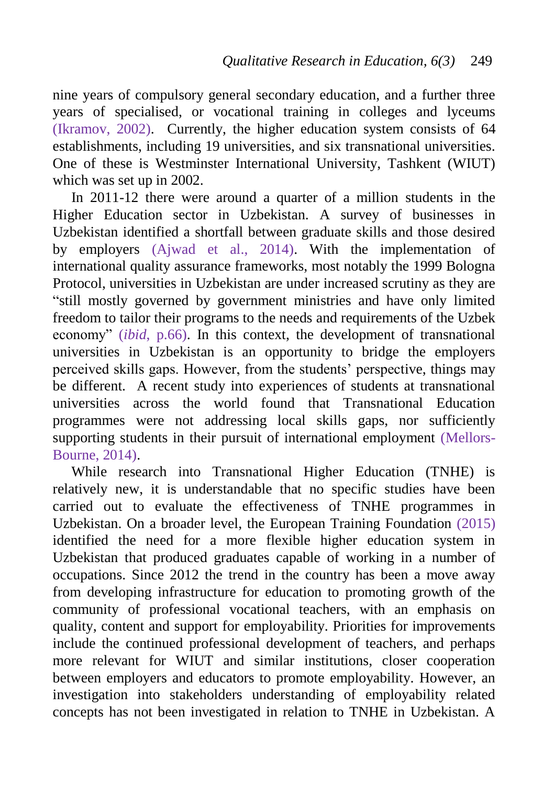nine years of compulsory general secondary education, and a further three years of specialised, or vocational training in colleges and lyceums [\(Ikramov, 2002\)](#page-31-7). Currently, the higher education system consists of 64 establishments, including 19 universities, and six transnational universities. One of these is Westminster International University, Tashkent (WIUT) which was set up in 2002.

In 2011-12 there were around a quarter of a million students in the Higher Education sector in Uzbekistan. A survey of businesses in Uzbekistan identified a shortfall between graduate skills and those desired by employers [\(Ajwad et al., 2014\)](#page-29-2). With the implementation of international quality assurance frameworks, most notably the 1999 Bologna Protocol, universities in Uzbekistan are under increased scrutiny as they are "still mostly governed by government ministries and have only limited freedom to tailor their programs to the needs and requirements of the Uzbek economy" (*ibid*[, p.66\)](#page-29-2). In this context, the development of transnational universities in Uzbekistan is an opportunity to bridge the employers perceived skills gaps. However, from the students' perspective, things may be different. A recent study into experiences of students at transnational universities across the world found that Transnational Education programmes were not addressing local skills gaps, nor sufficiently supporting students in their pursuit of international employment [\(Mellors-](#page-33-5)[Bourne, 2014\)](#page-33-5).

While research into Transnational Higher Education (TNHE) is relatively new, it is understandable that no specific studies have been carried out to evaluate the effectiveness of TNHE programmes in Uzbekistan. On a broader level, the European Training Foundation [\(2015\)](#page-30-8) identified the need for a more flexible higher education system in Uzbekistan that produced graduates capable of working in a number of occupations. Since 2012 the trend in the country has been a move away from developing infrastructure for education to promoting growth of the community of professional vocational teachers, with an emphasis on quality, content and support for employability. Priorities for improvements include the continued professional development of teachers, and perhaps more relevant for WIUT and similar institutions, closer cooperation between employers and educators to promote employability. However, an investigation into stakeholders understanding of employability related concepts has not been investigated in relation to TNHE in Uzbekistan. A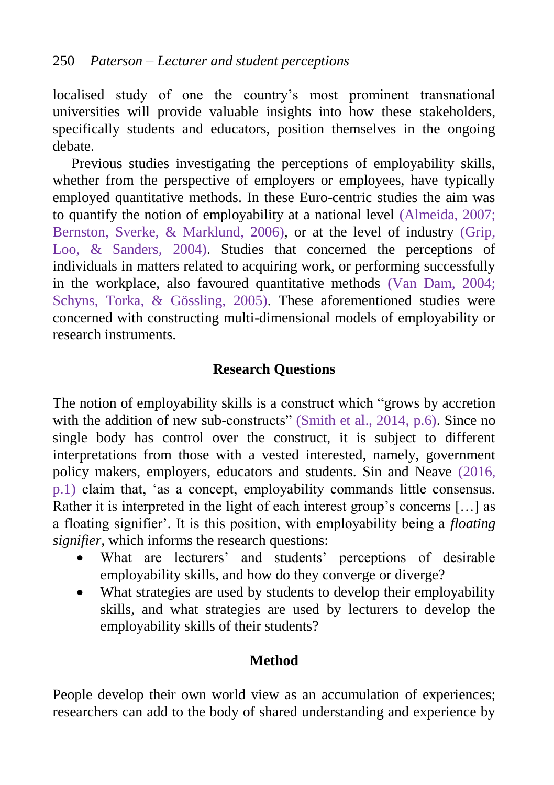localised study of one the country's most prominent transnational universities will provide valuable insights into how these stakeholders, specifically students and educators, position themselves in the ongoing debate.

Previous studies investigating the perceptions of employability skills, whether from the perspective of employers or employees, have typically employed quantitative methods. In these Euro-centric studies the aim was to quantify the notion of employability at a national level [\(Almeida, 2007;](#page-29-6) Bernston, [Sverke, & Marklund, 2006\)](#page-29-7), or at the level of industry [\(Grip,](#page-31-8) [Loo, & Sanders, 2004\)](#page-31-8). Studies that concerned the perceptions of individuals in matters related to acquiring work, or performing successfully in the workplace, also favoured quantitative methods [\(Van Dam, 2004;](#page-34-5) Schyns, [Torka, & Gössling, 2005\)](#page-33-6). These aforementioned studies were concerned with constructing multi-dimensional models of employability or research instruments.

## **Research Questions**

The notion of employability skills is a construct which "grows by accretion with the addition of new sub-constructs" [\(Smith et al., 2014, p.6\)](#page-33-2). Since no single body has control over the construct, it is subject to different interpretations from those with a vested interested, namely, government policy makers, employers, educators and students. Sin and Neave [\(2016,](#page-33-7)  [p.1\)](#page-33-7) claim that, 'as a concept, employability commands little consensus. Rather it is interpreted in the light of each interest group's concerns […] as a floating signifier'. It is this position, with employability being a *floating signifier,* which informs the research questions:

- What are lecturers' and students' perceptions of desirable employability skills, and how do they converge or diverge?
- What strategies are used by students to develop their employability skills, and what strategies are used by lecturers to develop the employability skills of their students?

## **Method**

People develop their own world view as an accumulation of experiences; researchers can add to the body of shared understanding and experience by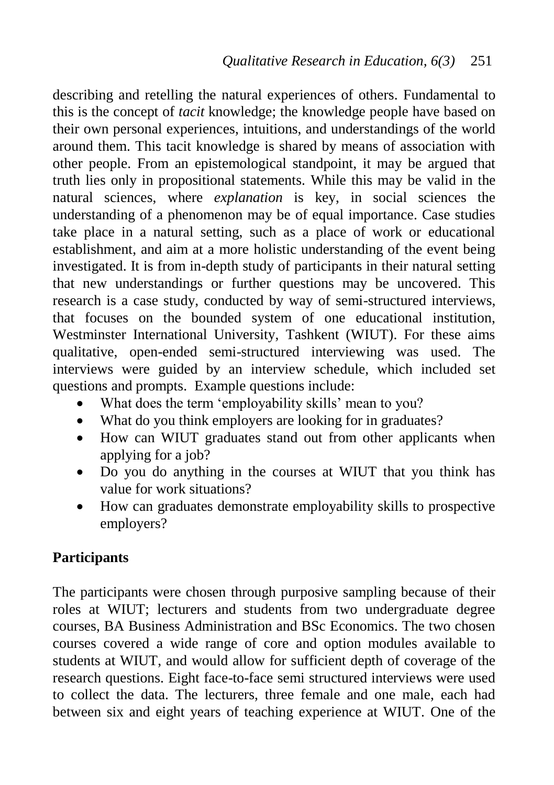describing and retelling the natural experiences of others. Fundamental to this is the concept of *tacit* knowledge; the knowledge people have based on their own personal experiences, intuitions, and understandings of the world around them. This tacit knowledge is shared by means of association with other people. From an epistemological standpoint, it may be argued that truth lies only in propositional statements. While this may be valid in the natural sciences, where *explanation* is key, in social sciences the understanding of a phenomenon may be of equal importance. Case studies take place in a natural setting, such as a place of work or educational establishment, and aim at a more holistic understanding of the event being investigated. It is from in-depth study of participants in their natural setting that new understandings or further questions may be uncovered. This research is a case study, conducted by way of semi-structured interviews, that focuses on the bounded system of one educational institution, Westminster International University, Tashkent (WIUT). For these aims qualitative, open-ended semi-structured interviewing was used. The interviews were guided by an interview schedule, which included set questions and prompts. Example questions include:

- What does the term 'employability skills' mean to you?
- What do you think employers are looking for in graduates?
- How can WIUT graduates stand out from other applicants when applying for a job?
- Do you do anything in the courses at WIUT that you think has value for work situations?
- How can graduates demonstrate employability skills to prospective employers?

## **Participants**

The participants were chosen through purposive sampling because of their roles at WIUT; lecturers and students from two undergraduate degree courses, BA Business Administration and BSc Economics. The two chosen courses covered a wide range of core and option modules available to students at WIUT, and would allow for sufficient depth of coverage of the research questions. Eight face-to-face semi structured interviews were used to collect the data. The lecturers, three female and one male, each had between six and eight years of teaching experience at WIUT. One of the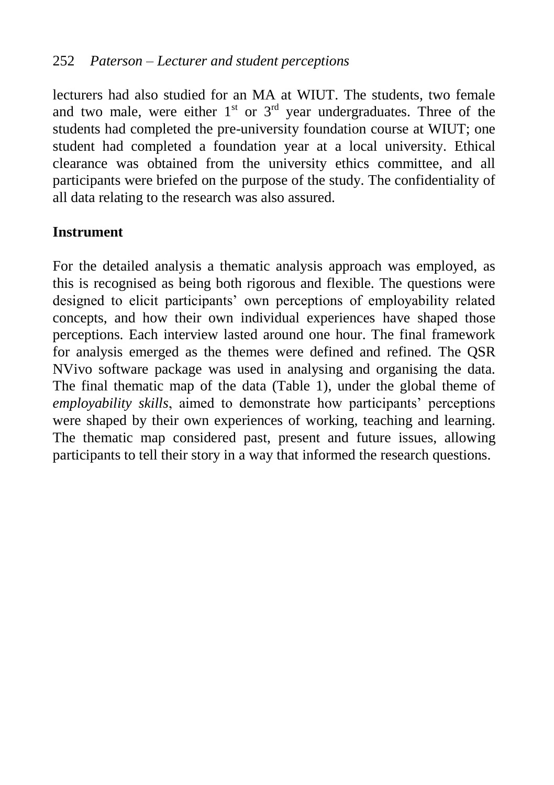lecturers had also studied for an MA at WIUT. The students, two female and two male, were either  $1<sup>st</sup>$  or  $3<sup>rd</sup>$  year undergraduates. Three of the students had completed the pre-university foundation course at WIUT; one student had completed a foundation year at a local university. Ethical clearance was obtained from the university ethics committee, and all participants were briefed on the purpose of the study. The confidentiality of all data relating to the research was also assured.

## **Instrument**

For the detailed analysis a thematic analysis approach was employed, as this is recognised as being both rigorous and flexible. The questions were designed to elicit participants' own perceptions of employability related concepts, and how their own individual experiences have shaped those perceptions. Each interview lasted around one hour. The final framework for analysis emerged as the themes were defined and refined. The QSR NVivo software package was used in analysing and organising the data. The final thematic map of the data (Table 1), under the global theme of *employability skills*, aimed to demonstrate how participants' perceptions were shaped by their own experiences of working, teaching and learning. The thematic map considered past, present and future issues, allowing participants to tell their story in a way that informed the research questions.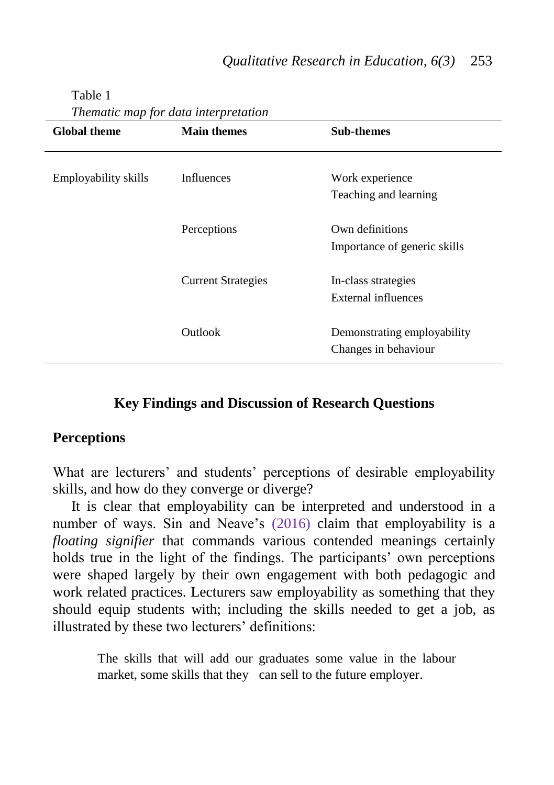| <b>Global theme</b>  | <b>Main themes</b>        | <b>Sub-themes</b>                                   |
|----------------------|---------------------------|-----------------------------------------------------|
| Employability skills | <b>Influences</b>         | Work experience<br>Teaching and learning            |
|                      | Perceptions               | Own definitions<br>Importance of generic skills     |
|                      | <b>Current Strategies</b> | In-class strategies<br>External influences          |
|                      | Outlook                   | Demonstrating employability<br>Changes in behaviour |

Table 1

*Thematic map for data interpretation*

### **Key Findings and Discussion of Research Questions**

### **Perceptions**

What are lecturers' and students' perceptions of desirable employability skills, and how do they converge or diverge?

It is clear that employability can be interpreted and understood in a number of ways. Sin and Neave's [\(2016\)](#page-33-7) claim that employability is a *floating signifier* that commands various contended meanings certainly holds true in the light of the findings. The participants' own perceptions were shaped largely by their own engagement with both pedagogic and work related practices. Lecturers saw employability as something that they should equip students with; including the skills needed to get a job, as illustrated by these two lecturers' definitions:

> The skills that will add our graduates some value in the labour market, some skills that they can sell to the future employer.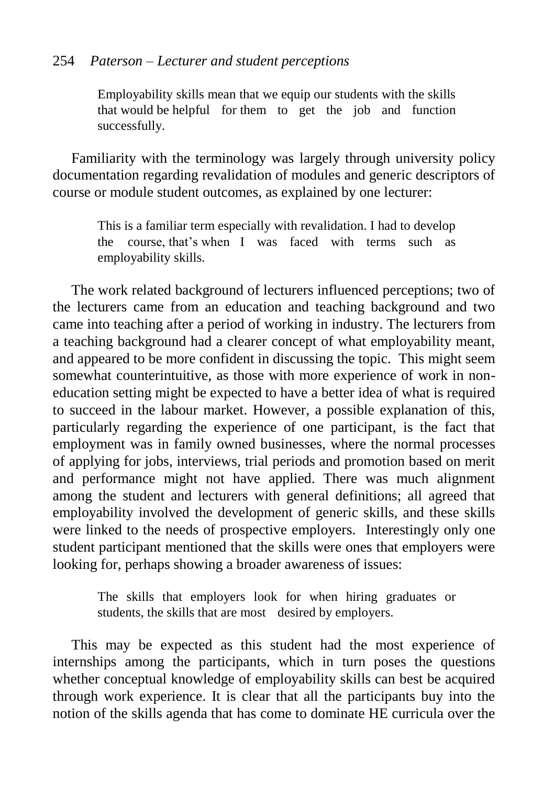### 254 *Paterson – Lecturer and student perceptions*

Employability skills mean that we equip our students with the skills that would be helpful for them to get the job and function successfully.

Familiarity with the terminology was largely through university policy documentation regarding revalidation of modules and generic descriptors of course or module student outcomes, as explained by one lecturer:

> This is a familiar term especially with revalidation. I had to develop the course, that's when I was faced with terms such as employability skills.

The work related background of lecturers influenced perceptions; two of the lecturers came from an education and teaching background and two came into teaching after a period of working in industry. The lecturers from a teaching background had a clearer concept of what employability meant, and appeared to be more confident in discussing the topic. This might seem somewhat counterintuitive, as those with more experience of work in noneducation setting might be expected to have a better idea of what is required to succeed in the labour market. However, a possible explanation of this, particularly regarding the experience of one participant, is the fact that employment was in family owned businesses, where the normal processes of applying for jobs, interviews, trial periods and promotion based on merit and performance might not have applied. There was much alignment among the student and lecturers with general definitions; all agreed that employability involved the development of generic skills, and these skills were linked to the needs of prospective employers. Interestingly only one student participant mentioned that the skills were ones that employers were looking for, perhaps showing a broader awareness of issues:

> The skills that employers look for when hiring graduates or students, the skills that are most desired by employers.

This may be expected as this student had the most experience of internships among the participants, which in turn poses the questions whether conceptual knowledge of employability skills can best be acquired through work experience. It is clear that all the participants buy into the notion of the skills agenda that has come to dominate HE curricula over the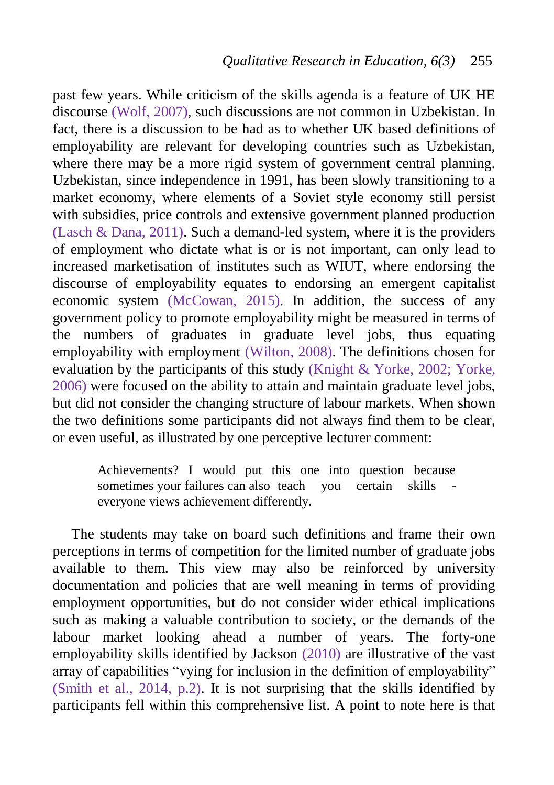past few years. While criticism of the skills agenda is a feature of UK HE discourse [\(Wolf, 2007\)](#page-34-6), such discussions are not common in Uzbekistan. In fact, there is a discussion to be had as to whether UK based definitions of employability are relevant for developing countries such as Uzbekistan, where there may be a more rigid system of government central planning. Uzbekistan, since independence in 1991, has been slowly transitioning to a market economy, where elements of a Soviet style economy still persist with subsidies, price controls and extensive government planned production (Lasch & [Dana, 2011\)](#page-32-5). Such a demand-led system, where it is the providers of employment who dictate what is or is not important, can only lead to increased marketisation of institutes such as WIUT, where endorsing the discourse of employability equates to endorsing an emergent capitalist economic system [\(McCowan, 2015\)](#page-33-8). In addition, the success of any government policy to promote employability might be measured in terms of the numbers of graduates in graduate level jobs, thus equating employability with employment [\(Wilton, 2008\)](#page-34-7). The definitions chosen for evaluation by the participants of this study (Knight & [Yorke, 2002;](#page-32-1) [Yorke,](#page-34-3)  [2006\)](#page-34-3) were focused on the ability to attain and maintain graduate level jobs, but did not consider the changing structure of labour markets. When shown the two definitions some participants did not always find them to be clear, or even useful, as illustrated by one perceptive lecturer comment:

> Achievements? I would put this one into question because sometimes your failures can also teach you certain skills everyone views achievement differently.

The students may take on board such definitions and frame their own perceptions in terms of competition for the limited number of graduate jobs available to them. This view may also be reinforced by university documentation and policies that are well meaning in terms of providing employment opportunities, but do not consider wider ethical implications such as making a valuable contribution to society, or the demands of the labour market looking ahead a number of years. The forty-one employability skills identified by Jackson [\(2010\)](#page-32-6) are illustrative of the vast array of capabilities "vying for inclusion in the definition of employability" [\(Smith et al., 2014, p.2\)](#page-33-2). It is not surprising that the skills identified by participants fell within this comprehensive list. A point to note here is that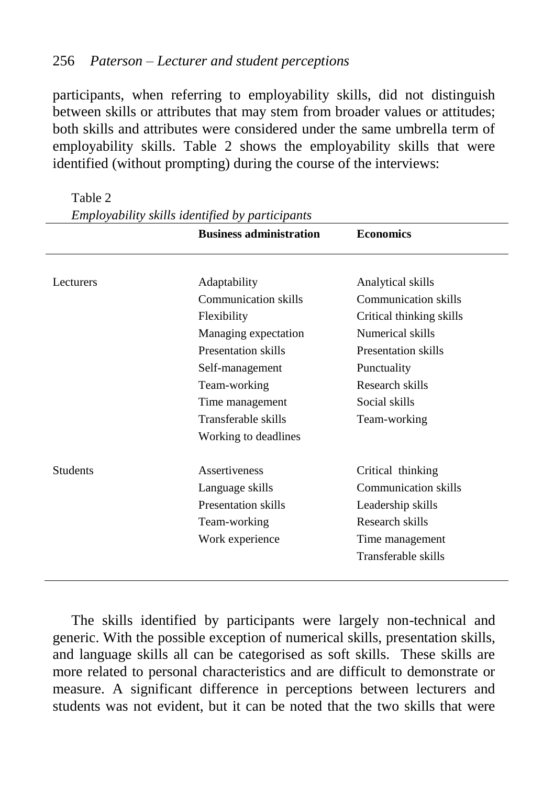participants, when referring to employability skills, did not distinguish between skills or attributes that may stem from broader values or attitudes; both skills and attributes were considered under the same umbrella term of employability skills. Table 2 shows the employability skills that were identified (without prompting) during the course of the interviews:

**Business administration Economics** Lecturers Adaptability Communication skills Flexibility Managing expectation Presentation skills Self-management Team-working Time management Transferable skills Working to deadlines Analytical skills Communication skills Critical thinking skills Numerical skills Presentation skills Punctuality Research skills Social skills Team-working Students Assertiveness Language skills Presentation skills Team-working Work experience Critical thinking Communication skills Leadership skills Research skills Time management Transferable skills

Table 2 *Employability skills identified by participants*

The skills identified by participants were largely non-technical and generic. With the possible exception of numerical skills, presentation skills, and language skills all can be categorised as soft skills. These skills are more related to personal characteristics and are difficult to demonstrate or measure. A significant difference in perceptions between lecturers and students was not evident, but it can be noted that the two skills that were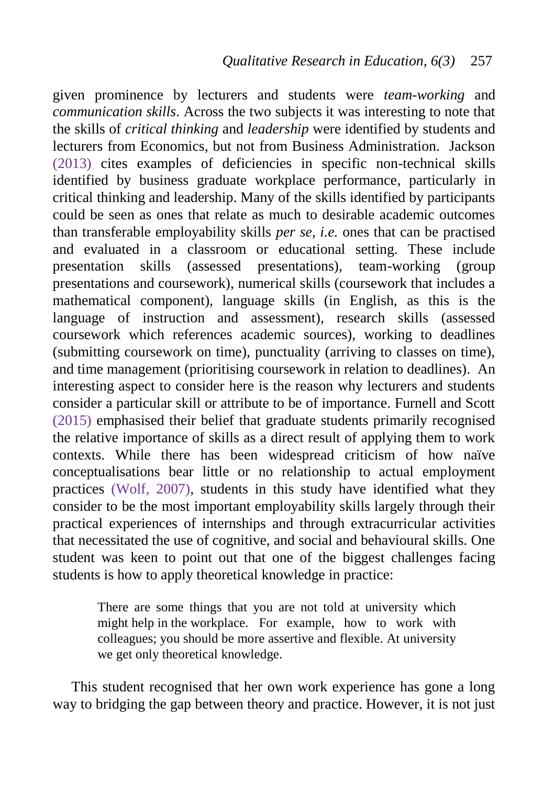given prominence by lecturers and students were *team-working* and *communication skills*. Across the two subjects it was interesting to note that the skills of *critical thinking* and *leadership* were identified by students and lecturers from Economics, but not from Business Administration. Jackson [\(2013\)](#page-32-4) cites examples of deficiencies in specific non-technical skills identified by business graduate workplace performance, particularly in critical thinking and leadership. Many of the skills identified by participants could be seen as ones that relate as much to desirable academic outcomes than transferable employability skills *per se, i.e.* ones that can be practised and evaluated in a classroom or educational setting. These include presentation skills (assessed presentations), team-working (group presentations and coursework), numerical skills (coursework that includes a mathematical component), language skills (in English, as this is the language of instruction and assessment), research skills (assessed coursework which references academic sources), working to deadlines (submitting coursework on time), punctuality (arriving to classes on time), and time management (prioritising coursework in relation to deadlines). An interesting aspect to consider here is the reason why lecturers and students consider a particular skill or attribute to be of importance. Furnell and Scott [\(2015\)](#page-31-9) emphasised their belief that graduate students primarily recognised the relative importance of skills as a direct result of applying them to work contexts. While there has been widespread criticism of how naïve conceptualisations bear little or no relationship to actual employment practices [\(Wolf, 2007\)](#page-34-6), students in this study have identified what they consider to be the most important employability skills largely through their practical experiences of internships and through extracurricular activities that necessitated the use of cognitive, and social and behavioural skills. One student was keen to point out that one of the biggest challenges facing students is how to apply theoretical knowledge in practice:

> There are some things that you are not told at university which might help in the workplace. For example, how to work with colleagues; you should be more assertive and flexible. At university we get only theoretical knowledge.

This student recognised that her own work experience has gone a long way to bridging the gap between theory and practice. However, it is not just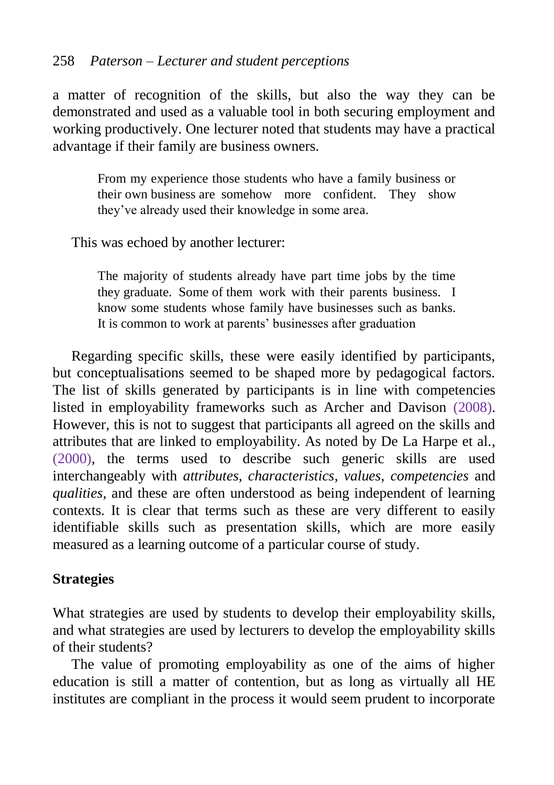a matter of recognition of the skills, but also the way they can be demonstrated and used as a valuable tool in both securing employment and working productively. One lecturer noted that students may have a practical advantage if their family are business owners.

From my experience those students who have a family business or their own business are somehow more confident. They show they've already used their knowledge in some area.

This was echoed by another lecturer:

The majority of students already have part time jobs by the time they graduate. Some of them work with their parents business. I know some students whose family have businesses such as banks. It is common to work at parents' businesses after graduation

Regarding specific skills, these were easily identified by participants, but conceptualisations seemed to be shaped more by pedagogical factors. The list of skills generated by participants is in line with competencies listed in employability frameworks such as Archer and Davison [\(2008\)](#page-29-5). However, this is not to suggest that participants all agreed on the skills and attributes that are linked to employability. As noted by De La Harpe et al., [\(2000\)](#page-30-5), the terms used to describe such generic skills are used interchangeably with *attributes*, *characteristics*, *values*, *competencies* and *qualities*, and these are often understood as being independent of learning contexts. It is clear that terms such as these are very different to easily identifiable skills such as presentation skills, which are more easily measured as a learning outcome of a particular course of study.

## **Strategies**

What strategies are used by students to develop their employability skills, and what strategies are used by lecturers to develop the employability skills of their students?

The value of promoting employability as one of the aims of higher education is still a matter of contention, but as long as virtually all HE institutes are compliant in the process it would seem prudent to incorporate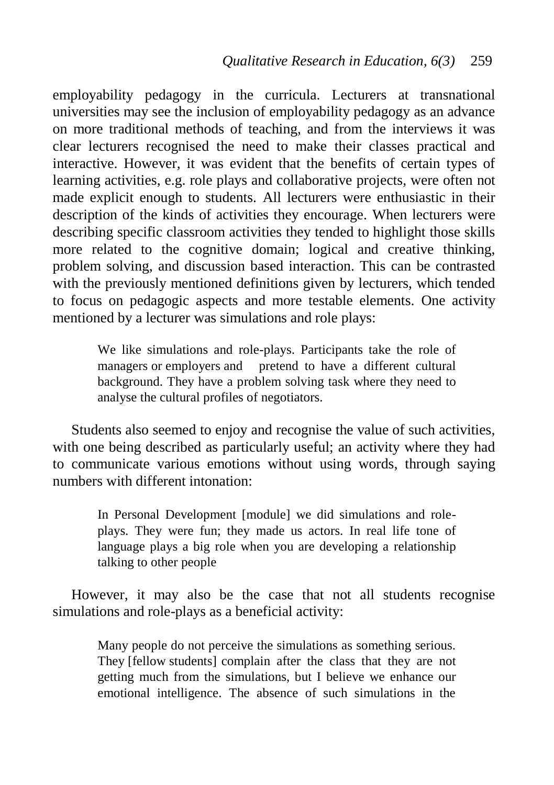employability pedagogy in the curricula. Lecturers at transnational universities may see the inclusion of employability pedagogy as an advance on more traditional methods of teaching, and from the interviews it was clear lecturers recognised the need to make their classes practical and interactive. However, it was evident that the benefits of certain types of learning activities, e.g. role plays and collaborative projects, were often not made explicit enough to students. All lecturers were enthusiastic in their description of the kinds of activities they encourage. When lecturers were describing specific classroom activities they tended to highlight those skills more related to the cognitive domain; logical and creative thinking, problem solving, and discussion based interaction. This can be contrasted with the previously mentioned definitions given by lecturers, which tended to focus on pedagogic aspects and more testable elements. One activity mentioned by a lecturer was simulations and role plays:

> We like simulations and role-plays. Participants take the role of managers or employers and pretend to have a different cultural background. They have a problem solving task where they need to analyse the cultural profiles of negotiators.

Students also seemed to enjoy and recognise the value of such activities, with one being described as particularly useful; an activity where they had to communicate various emotions without using words, through saying numbers with different intonation:

In Personal Development [module] we did simulations and roleplays. They were fun; they made us actors. In real life tone of language plays a big role when you are developing a relationship talking to other people

However, it may also be the case that not all students recognise simulations and role-plays as a beneficial activity:

Many people do not perceive the simulations as something serious. They [fellow students] complain after the class that they are not getting much from the simulations, but I believe we enhance our emotional intelligence. The absence of such simulations in the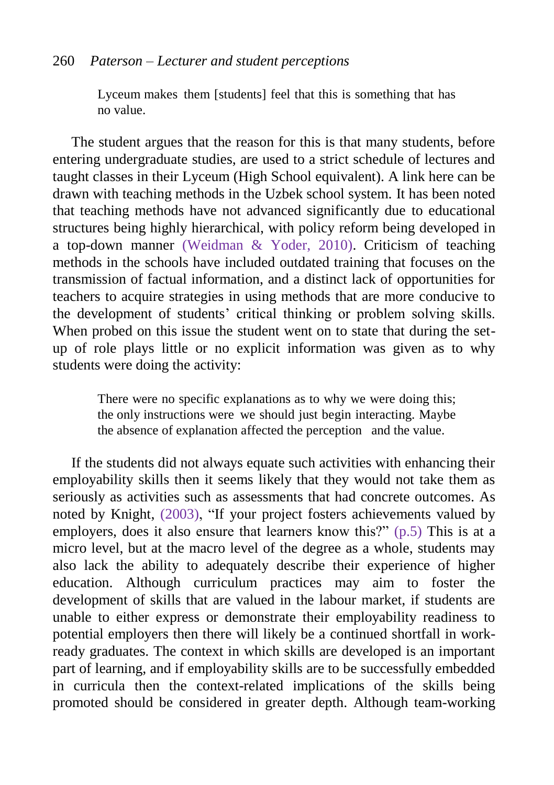## 260 *Paterson – Lecturer and student perceptions*

Lyceum makes them [students] feel that this is something that has no value.

The student argues that the reason for this is that many students, before entering undergraduate studies, are used to a strict schedule of lectures and taught classes in their Lyceum (High School equivalent). A link here can be drawn with teaching methods in the Uzbek school system. It has been noted that teaching methods have not advanced significantly due to educational structures being highly hierarchical, with policy reform being developed in a top-down manner (Weidman & [Yoder, 2010\)](#page-34-8). Criticism of teaching methods in the schools have included outdated training that focuses on the transmission of factual information, and a distinct lack of opportunities for teachers to acquire strategies in using methods that are more conducive to the development of students' critical thinking or problem solving skills. When probed on this issue the student went on to state that during the setup of role plays little or no explicit information was given as to why students were doing the activity:

> There were no specific explanations as to why we were doing this; the only instructions were we should just begin interacting. Maybe the absence of explanation affected the perception and the value.

If the students did not always equate such activities with enhancing their employability skills then it seems likely that they would not take them as seriously as activities such as assessments that had concrete outcomes. As noted by Knight, [\(2003\)](#page-32-7), "If your project fosters achievements valued by employers, does it also ensure that learners know this?" [\(p.5\)](#page-32-7) This is at a micro level, but at the macro level of the degree as a whole, students may also lack the ability to adequately describe their experience of higher education. Although curriculum practices may aim to foster the development of skills that are valued in the labour market, if students are unable to either express or demonstrate their employability readiness to potential employers then there will likely be a continued shortfall in workready graduates. The context in which skills are developed is an important part of learning, and if employability skills are to be successfully embedded in curricula then the context-related implications of the skills being promoted should be considered in greater depth. Although team-working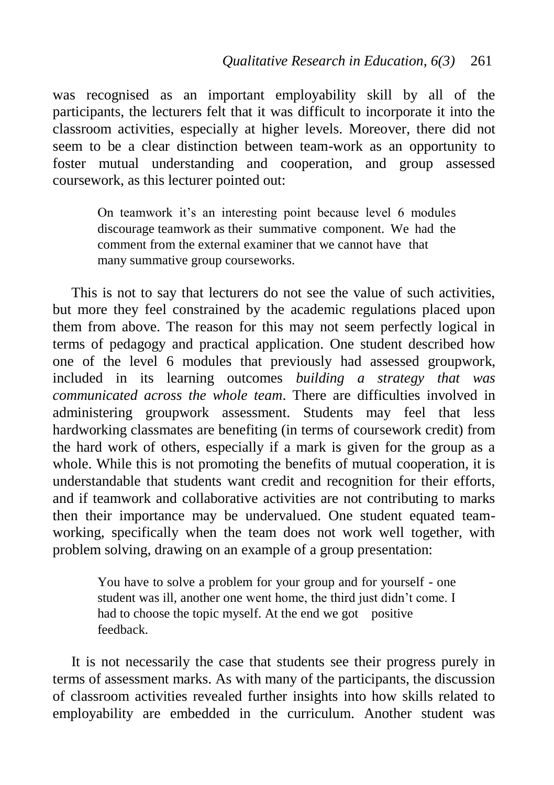was recognised as an important employability skill by all of the participants, the lecturers felt that it was difficult to incorporate it into the classroom activities, especially at higher levels. Moreover, there did not seem to be a clear distinction between team-work as an opportunity to foster mutual understanding and cooperation, and group assessed coursework, as this lecturer pointed out:

> On teamwork it's an interesting point because level 6 modules discourage teamwork as their summative component. We had the comment from the external examiner that we cannot have that many summative group courseworks.

This is not to say that lecturers do not see the value of such activities, but more they feel constrained by the academic regulations placed upon them from above. The reason for this may not seem perfectly logical in terms of pedagogy and practical application. One student described how one of the level 6 modules that previously had assessed groupwork, included in its learning outcomes *building a strategy that was communicated across the whole team*. There are difficulties involved in administering groupwork assessment. Students may feel that less hardworking classmates are benefiting (in terms of coursework credit) from the hard work of others, especially if a mark is given for the group as a whole. While this is not promoting the benefits of mutual cooperation, it is understandable that students want credit and recognition for their efforts, and if teamwork and collaborative activities are not contributing to marks then their importance may be undervalued. One student equated teamworking, specifically when the team does not work well together, with problem solving, drawing on an example of a group presentation:

> You have to solve a problem for your group and for yourself - one student was ill, another one went home, the third just didn't come. I had to choose the topic myself. At the end we got positive feedback.

It is not necessarily the case that students see their progress purely in terms of assessment marks. As with many of the participants, the discussion of classroom activities revealed further insights into how skills related to employability are embedded in the curriculum. Another student was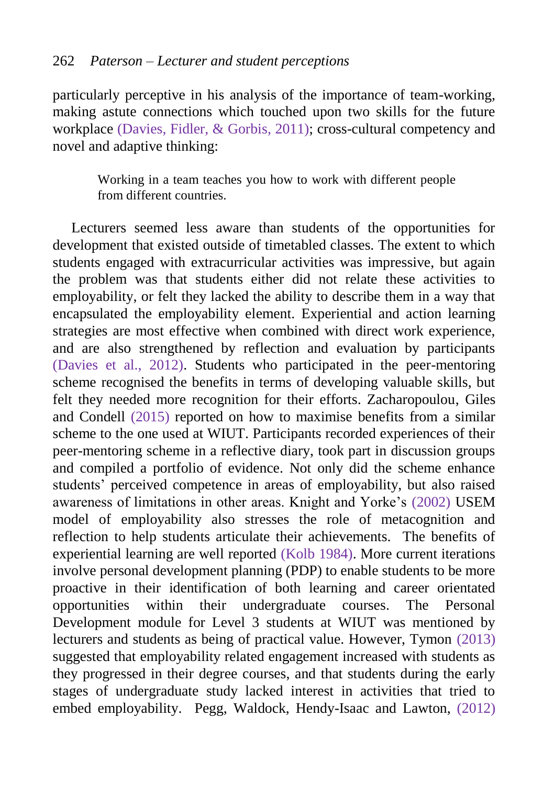particularly perceptive in his analysis of the importance of team-working, making astute connections which touched upon two skills for the future workplace [\(Davies, Fidler, & Gorbis, 2011\)](#page-30-9); cross-cultural competency and novel and adaptive thinking:

> Working in a team teaches you how to work with different people from different countries.

Lecturers seemed less aware than students of the opportunities for development that existed outside of timetabled classes. The extent to which students engaged with extracurricular activities was impressive, but again the problem was that students either did not relate these activities to employability, or felt they lacked the ability to describe them in a way that encapsulated the employability element. Experiential and action learning strategies are most effective when combined with direct work experience, and are also strengthened by reflection and evaluation by participants [\(Davies et al., 2012\)](#page-30-0). Students who participated in the peer-mentoring scheme recognised the benefits in terms of developing valuable skills, but felt they needed more recognition for their efforts. Zacharopoulou, Giles and Condell [\(2015\)](#page-34-9) reported on how to maximise benefits from a similar scheme to the one used at WIUT. Participants recorded experiences of their peer-mentoring scheme in a reflective diary, took part in discussion groups and compiled a portfolio of evidence. Not only did the scheme enhance students' perceived competence in areas of employability, but also raised awareness of limitations in other areas. Knight and Yorke's [\(2002\)](#page-32-1) USEM model of employability also stresses the role of metacognition and reflection to help students articulate their achievements. The benefits of experiential learning are well reported [\(Kolb 1984\)](#page-32-8). More current iterations involve personal development planning (PDP) to enable students to be more proactive in their identification of both learning and career orientated opportunities within their undergraduate courses. The Personal Development module for Level 3 students at WIUT was mentioned by lecturers and students as being of practical value. However, Tymon [\(2013\)](#page-34-0) suggested that employability related engagement increased with students as they progressed in their degree courses, and that students during the early stages of undergraduate study lacked interest in activities that tried to embed employability. Pegg, Waldock, Hendy-Isaac and Lawton, [\(2012\)](#page-33-9)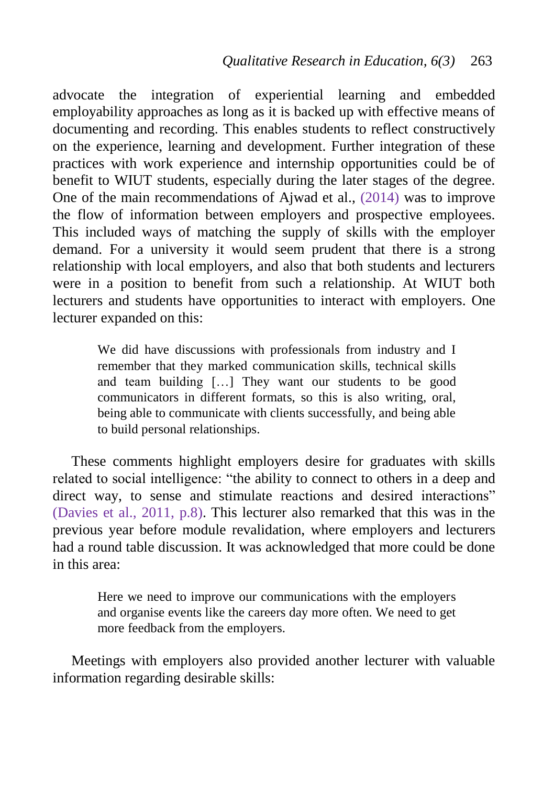advocate the integration of experiential learning and embedded employability approaches as long as it is backed up with effective means of documenting and recording. This enables students to reflect constructively on the experience, learning and development. Further integration of these practices with work experience and internship opportunities could be of benefit to WIUT students, especially during the later stages of the degree. One of the main recommendations of Ajwad et al., [\(2014\)](#page-29-2) was to improve the flow of information between employers and prospective employees. This included ways of matching the supply of skills with the employer demand. For a university it would seem prudent that there is a strong relationship with local employers, and also that both students and lecturers were in a position to benefit from such a relationship. At WIUT both lecturers and students have opportunities to interact with employers. One lecturer expanded on this:

> We did have discussions with professionals from industry and I remember that they marked communication skills, technical skills and team building […] They want our students to be good communicators in different formats, so this is also writing, oral, being able to communicate with clients successfully, and being able to build personal relationships.

These comments highlight employers desire for graduates with skills related to social intelligence: "the ability to connect to others in a deep and direct way, to sense and stimulate reactions and desired interactions" [\(Davies et al., 2011, p.8\)](#page-30-9). This lecturer also remarked that this was in the previous year before module revalidation, where employers and lecturers had a round table discussion. It was acknowledged that more could be done in this area:

> Here we need to improve our communications with the employers and organise events like the careers day more often. We need to get more feedback from the employers.

Meetings with employers also provided another lecturer with valuable information regarding desirable skills: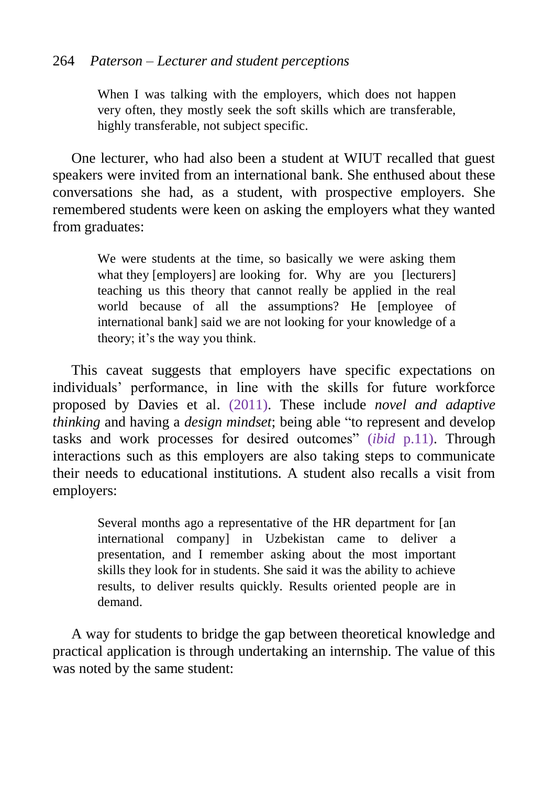### 264 *Paterson – Lecturer and student perceptions*

When I was talking with the employers, which does not happen very often, they mostly seek the soft skills which are transferable, highly transferable, not subject specific.

One lecturer, who had also been a student at WIUT recalled that guest speakers were invited from an international bank. She enthused about these conversations she had, as a student, with prospective employers. She remembered students were keen on asking the employers what they wanted from graduates:

> We were students at the time, so basically we were asking them what they [employers] are looking for. Why are you [lecturers] teaching us this theory that cannot really be applied in the real world because of all the assumptions? He [employee of international bank] said we are not looking for your knowledge of a theory; it's the way you think.

This caveat suggests that employers have specific expectations on individuals' performance, in line with the skills for future workforce proposed by Davies et al. [\(2011\)](#page-30-9). These include *novel and adaptive thinking* and having a *design mindset*; being able "to represent and develop tasks and work processes for desired outcomes" (*ibid* [p.11\)](#page-30-9). Through interactions such as this employers are also taking steps to communicate their needs to educational institutions. A student also recalls a visit from employers:

> Several months ago a representative of the HR department for [an international company] in Uzbekistan came to deliver a presentation, and I remember asking about the most important skills they look for in students. She said it was the ability to achieve results, to deliver results quickly. Results oriented people are in demand.

A way for students to bridge the gap between theoretical knowledge and practical application is through undertaking an internship. The value of this was noted by the same student: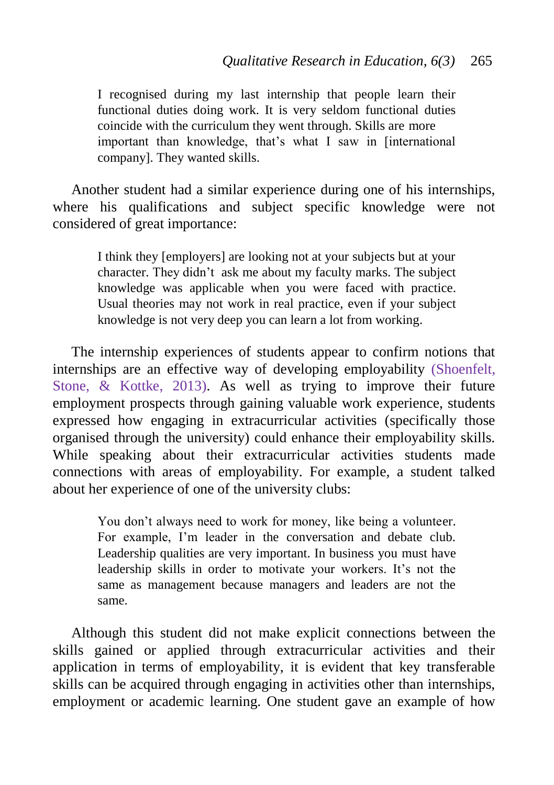I recognised during my last internship that people learn their functional duties doing work. It is very seldom functional duties coincide with the curriculum they went through. Skills are more important than knowledge, that's what I saw in [international company]. They wanted skills.

Another student had a similar experience during one of his internships, where his qualifications and subject specific knowledge were not considered of great importance:

> I think they [employers] are looking not at your subjects but at your character. They didn't ask me about my faculty marks. The subject knowledge was applicable when you were faced with practice. Usual theories may not work in real practice, even if your subject knowledge is not very deep you can learn a lot from working.

The internship experiences of students appear to confirm notions that internships are an effective way of developing employability [\(Shoenfelt,](#page-33-10)  [Stone, & Kottke, 2013\)](#page-33-10). As well as trying to improve their future employment prospects through gaining valuable work experience, students expressed how engaging in extracurricular activities (specifically those organised through the university) could enhance their employability skills. While speaking about their extracurricular activities students made connections with areas of employability. For example, a student talked about her experience of one of the university clubs:

> You don't always need to work for money, like being a volunteer. For example, I'm leader in the conversation and debate club. Leadership qualities are very important. In business you must have leadership skills in order to motivate your workers. It's not the same as management because managers and leaders are not the same.

Although this student did not make explicit connections between the skills gained or applied through extracurricular activities and their application in terms of employability, it is evident that key transferable skills can be acquired through engaging in activities other than internships, employment or academic learning. One student gave an example of how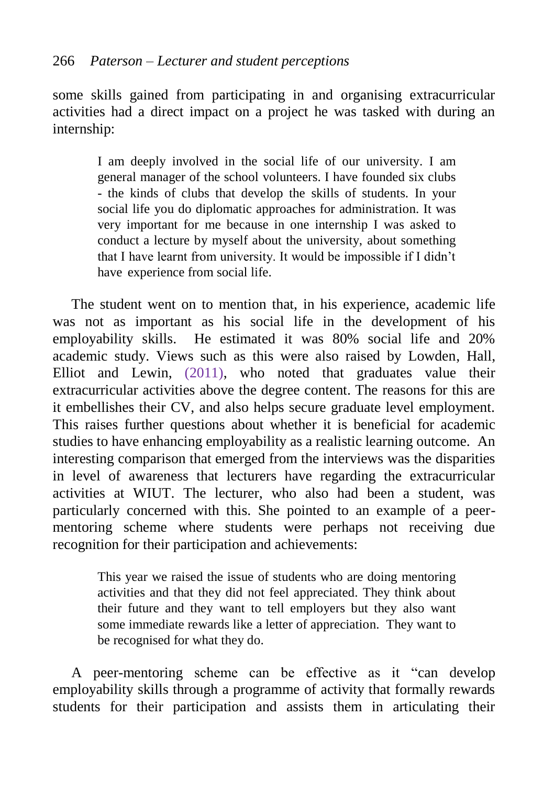some skills gained from participating in and organising extracurricular activities had a direct impact on a project he was tasked with during an internship:

> I am deeply involved in the social life of our university. I am general manager of the school volunteers. I have founded six clubs - the kinds of clubs that develop the skills of students. In your social life you do diplomatic approaches for administration. It was very important for me because in one internship I was asked to conduct a lecture by myself about the university, about something that I have learnt from university. It would be impossible if I didn't have experience from social life.

The student went on to mention that, in his experience, academic life was not as important as his social life in the development of his employability skills. He estimated it was 80% social life and 20% academic study. Views such as this were also raised by Lowden, Hall, Elliot and Lewin, [\(2011\)](#page-32-9), who noted that graduates value their extracurricular activities above the degree content. The reasons for this are it embellishes their CV, and also helps secure graduate level employment. This raises further questions about whether it is beneficial for academic studies to have enhancing employability as a realistic learning outcome. An interesting comparison that emerged from the interviews was the disparities in level of awareness that lecturers have regarding the extracurricular activities at WIUT. The lecturer, who also had been a student, was particularly concerned with this. She pointed to an example of a peermentoring scheme where students were perhaps not receiving due recognition for their participation and achievements:

> This year we raised the issue of students who are doing mentoring activities and that they did not feel appreciated. They think about their future and they want to tell employers but they also want some immediate rewards like a letter of appreciation. They want to be recognised for what they do.

A peer-mentoring scheme can be effective as it "can develop employability skills through a programme of activity that formally rewards students for their participation and assists them in articulating their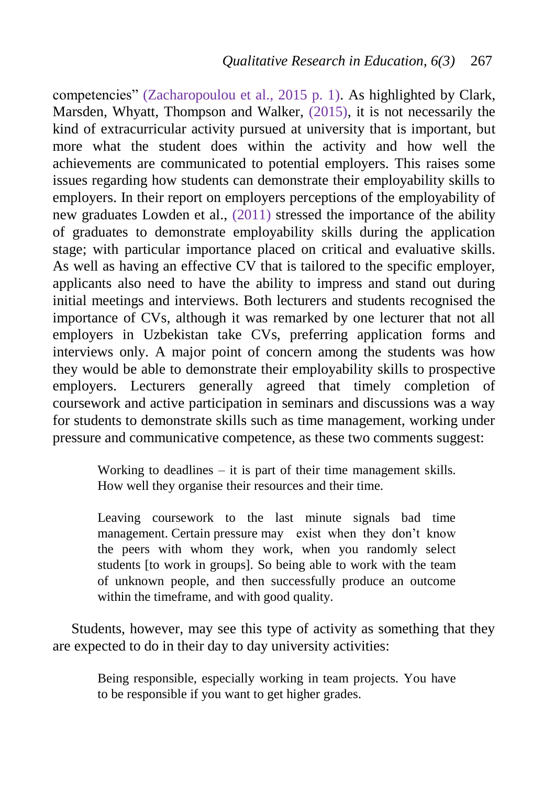competencies" [\(Zacharopoulou et al., 2015 p. 1\)](#page-34-9). As highlighted by Clark, Marsden, Whyatt, Thompson and Walker, [\(2015\)](#page-30-10), it is not necessarily the kind of extracurricular activity pursued at university that is important, but more what the student does within the activity and how well the achievements are communicated to potential employers. This raises some issues regarding how students can demonstrate their employability skills to employers. In their report on employers perceptions of the employability of new graduates Lowden et al., [\(2011\)](#page-32-9) stressed the importance of the ability of graduates to demonstrate employability skills during the application stage; with particular importance placed on critical and evaluative skills. As well as having an effective CV that is tailored to the specific employer, applicants also need to have the ability to impress and stand out during initial meetings and interviews. Both lecturers and students recognised the importance of CVs, although it was remarked by one lecturer that not all employers in Uzbekistan take CVs, preferring application forms and interviews only. A major point of concern among the students was how they would be able to demonstrate their employability skills to prospective employers. Lecturers generally agreed that timely completion of coursework and active participation in seminars and discussions was a way for students to demonstrate skills such as time management, working under pressure and communicative competence, as these two comments suggest:

> Working to deadlines – it is part of their time management skills. How well they organise their resources and their time.

> Leaving coursework to the last minute signals bad time management. Certain pressure may exist when they don't know the peers with whom they work, when you randomly select students [to work in groups]. So being able to work with the team of unknown people, and then successfully produce an outcome within the timeframe, and with good quality.

Students, however, may see this type of activity as something that they are expected to do in their day to day university activities:

Being responsible, especially working in team projects. You have to be responsible if you want to get higher grades.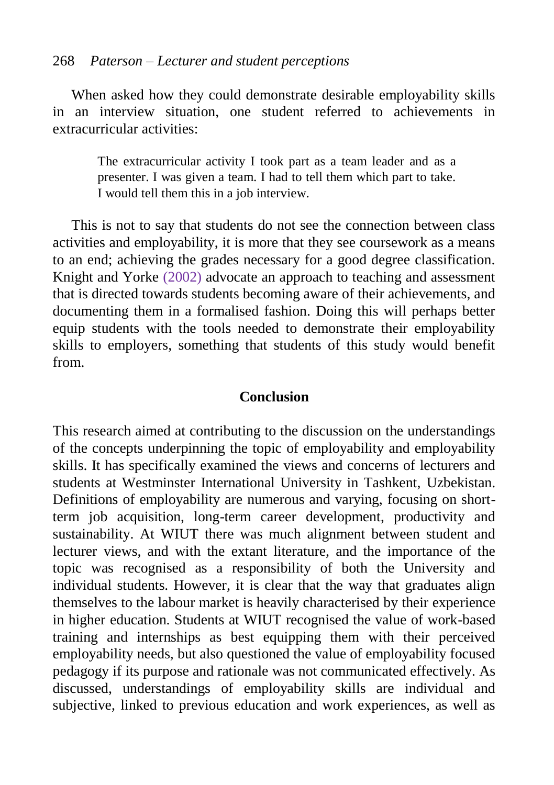When asked how they could demonstrate desirable employability skills in an interview situation, one student referred to achievements in extracurricular activities:

The extracurricular activity I took part as a team leader and as a presenter. I was given a team. I had to tell them which part to take. I would tell them this in a job interview.

This is not to say that students do not see the connection between class activities and employability, it is more that they see coursework as a means to an end; achieving the grades necessary for a good degree classification. Knight and Yorke [\(2002\)](#page-32-1) advocate an approach to teaching and assessment that is directed towards students becoming aware of their achievements, and documenting them in a formalised fashion. Doing this will perhaps better equip students with the tools needed to demonstrate their employability skills to employers, something that students of this study would benefit from.

### **Conclusion**

This research aimed at contributing to the discussion on the understandings of the concepts underpinning the topic of employability and employability skills. It has specifically examined the views and concerns of lecturers and students at Westminster International University in Tashkent, Uzbekistan. Definitions of employability are numerous and varying, focusing on shortterm job acquisition, long-term career development, productivity and sustainability. At WIUT there was much alignment between student and lecturer views, and with the extant literature, and the importance of the topic was recognised as a responsibility of both the University and individual students. However, it is clear that the way that graduates align themselves to the labour market is heavily characterised by their experience in higher education. Students at WIUT recognised the value of work-based training and internships as best equipping them with their perceived employability needs, but also questioned the value of employability focused pedagogy if its purpose and rationale was not communicated effectively. As discussed, understandings of employability skills are individual and subjective, linked to previous education and work experiences, as well as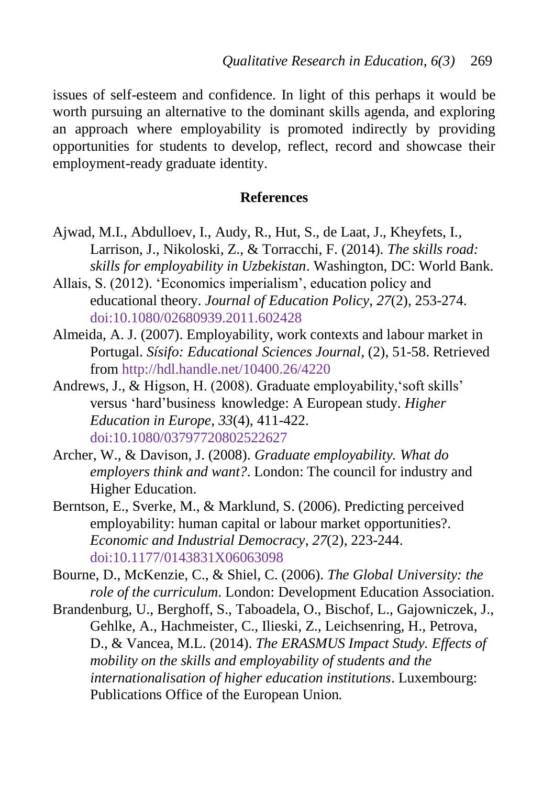issues of self-esteem and confidence. In light of this perhaps it would be worth pursuing an alternative to the dominant skills agenda, and exploring an approach where employability is promoted indirectly by providing opportunities for students to develop, reflect, record and showcase their employment-ready graduate identity.

#### **References**

- <span id="page-29-2"></span>Ajwad, M.I., Abdulloev, I., Audy, R., Hut, S., de Laat, J., Kheyfets, I., Larrison, J., Nikoloski, Z., & Torracchi, F. (2014). *The skills road: skills for employability in Uzbekistan*. Washington, DC: World Bank.
- <span id="page-29-3"></span>Allais, S. (2012). 'Economics imperialism', education policy and educational theory. *Journal of Education Policy*, *27*(2), 253-274. doi[:10.1080/02680939.2011.602428](http://dx.doi.org/10.1080/02680939.2011.602428)
- <span id="page-29-6"></span>Almeida, A. J. (2007). Employability, work contexts and labour market in Portugal. *Sísifo: Educational Sciences Journal*, (2), 51-58. Retrieved from<http://hdl.handle.net/10400.26/4220>
- <span id="page-29-4"></span>Andrews, J., & Higson, H. (2008). Graduate employability,'soft skills' versus 'hard'business knowledge: A European study. *Higher Education in Europe*, *33*(4), 411-422. doi[:10.1080/03797720802522627](http://dx.doi.org/10.1080/03797720802522627)
- <span id="page-29-5"></span>Archer, W., & Davison, J. (2008). *Graduate employability. What do employers think and want?*. London: The council for industry and Higher Education.
- <span id="page-29-7"></span>Berntson, E., Sverke, M., & Marklund, S. (2006). Predicting perceived employability: human capital or labour market opportunities?. *Economic and Industrial Democracy*, *27*(2), 223-244. doi[:10.1177/0143831X06063098](http://dx.doi.org/10.1177/0143831X06063098)
- <span id="page-29-0"></span>Bourne, D., McKenzie, C., & Shiel, C. (2006). *The Global University: the role of the curriculum*. London: Development Education Association.
- <span id="page-29-1"></span>Brandenburg, U., Berghoff, S., Taboadela, O., Bischof, L., Gajowniczek, J., Gehlke, A., Hachmeister, C., Ilieski, Z., Leichsenring, H., Petrova, D., & Vancea, M.L. (2014). *The ERASMUS Impact Study. Effects of mobility on the skills and employability of students and the internationalisation of higher education institutions*. Luxembourg: Publications Office of the European Union*.*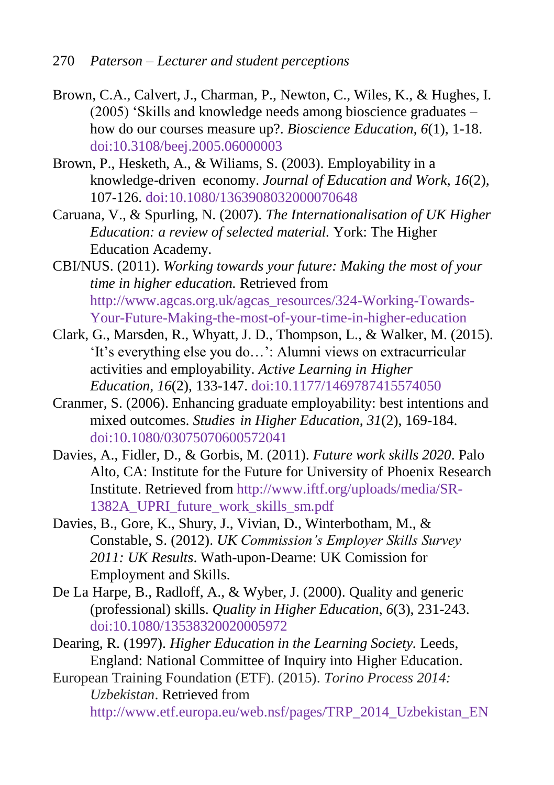- <span id="page-30-4"></span>Brown, C.A., Calvert, J., Charman, P., Newton, C., Wiles, K., & Hughes, I. (2005) 'Skills and knowledge needs among bioscience graduates – how do our courses measure up?. *Bioscience Education, 6*(1), 1-18. doi[:10.3108/beej.2005.06000003](http://dx.doi.org/10.3108/beej.2005.06000003)
- <span id="page-30-7"></span>Brown, P., Hesketh, A., & Wiliams, S. (2003). Employability in a knowledge-driven economy. *Journal of Education and Work*, *16*(2), 107-126. doi[:10.1080/1363908032000070648](http://dx.doi.org/10.1080/1363908032000070648)
- <span id="page-30-1"></span>Caruana, V., & Spurling, N. (2007). *The Internationalisation of UK Higher Education: a review of selected material.* York: The Higher Education Academy.
- <span id="page-30-2"></span>CBI/NUS. (2011). *Working towards your future: Making the most of your time in higher education.* Retrieved from [http://www.agcas.org.uk/agcas\\_resources/324-Working-Towards-](http://www.agcas.org.uk/agcas_resources/324-Working-Towards-Your-Future-Making-the-most-of-your-time-in-higher-education)[Your-Future-Making-the-most-of-your-time-in-higher-education](http://www.agcas.org.uk/agcas_resources/324-Working-Towards-Your-Future-Making-the-most-of-your-time-in-higher-education)
- <span id="page-30-10"></span>Clark, G., Marsden, R., Whyatt, J. D., Thompson, L., & Walker, M. (2015). 'It's everything else you do…': Alumni views on extracurricular activities and employability. *Active Learning in Higher Education*, *16*(2), 133-147. doi[:10.1177/1469787415574050](http://dx.doi.org/10.1177/1469787415574050)
- <span id="page-30-3"></span>Cranmer, S. (2006). Enhancing graduate employability: best intentions and mixed outcomes. *Studies in Higher Education*, *31*(2), 169-184. doi[:10.1080/03075070600572041](http://dx.doi.org/10.1080/03075070600572041)
- <span id="page-30-9"></span>Davies, A., Fidler, D., & Gorbis, M. (2011). *Future work skills 2020*. Palo Alto, CA: Institute for the Future for University of Phoenix Research Institute. Retrieved from [http://www.iftf.org/uploads/media/SR-](http://www.iftf.org/uploads/media/SR-1382A_UPRI_future_work_skills_sm.pdf)[1382A\\_UPRI\\_future\\_work\\_skills\\_sm.pdf](http://www.iftf.org/uploads/media/SR-1382A_UPRI_future_work_skills_sm.pdf)
- <span id="page-30-0"></span>Davies, B., Gore, K., Shury, J., Vivian, D., Winterbotham, M., & Constable, S. (2012). *UK Commission's Employer Skills Survey 2011: UK Results*. Wath-upon-Dearne: UK Comission for Employment and Skills.
- <span id="page-30-5"></span>De La Harpe, B., Radloff, A., & Wyber, J. (2000). Quality and generic (professional) skills. *Quality in Higher Education*, *6*(3), 231-243. doi[:10.1080/13538320020005972](http://dx.doi.org/10.1080/13538320020005972)
- <span id="page-30-6"></span>Dearing, R. (1997). *Higher Education in the Learning Society.* Leeds, England: National Committee of Inquiry into Higher Education.
- <span id="page-30-8"></span>European Training Foundation (ETF). (2015). *Torino Process 2014: Uzbekistan*. Retrieved from [http://www.etf.europa.eu/web.nsf/pages/TRP\\_2014\\_Uzbekistan\\_EN](http://www.etf.europa.eu/web.nsf/pages/TRP_2014_Uzbekistan_EN)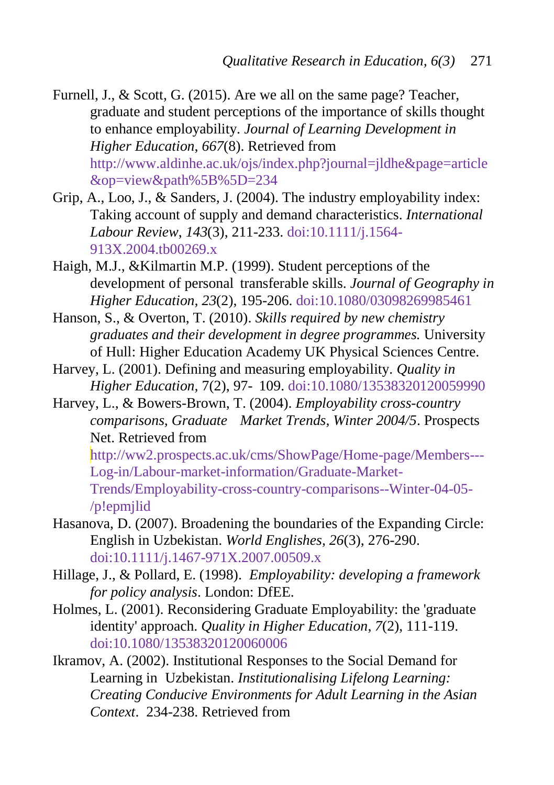- <span id="page-31-9"></span>Furnell, J., & Scott, G. (2015). Are we all on the same page? Teacher, graduate and student perceptions of the importance of skills thought to enhance employability. *Journal of Learning Development in Higher Education*, *667*(8). Retrieved from [http://www.aldinhe.ac.uk/ojs/index.php?journal=jldhe&page=article](http://www.aldinhe.ac.uk/ojs/index.php?journal=jldhe&page=article&op=view&path%5B%5D=234) [&op=view&path%5B%5D=234](http://www.aldinhe.ac.uk/ojs/index.php?journal=jldhe&page=article&op=view&path%5B%5D=234)
- <span id="page-31-8"></span>Grip, A., Loo, J., & Sanders, J. (2004). The industry employability index: Taking account of supply and demand characteristics. *International Labour Review*, *143*(3), 211-233. doi[:10.1111/j.1564-](http://dx.doi.org/10.1111/j.1564-913X.2004.tb00269.x) [913X.2004.tb00269.x](http://dx.doi.org/10.1111/j.1564-913X.2004.tb00269.x)
- <span id="page-31-4"></span>Haigh, M.J., &Kilmartin M.P. (1999). Student perceptions of the development of personal transferable skills. *Journal of Geography in Higher Education, 23*(2), 195-206. doi[:10.1080/03098269985461](http://dx.doi.org/10.1080/03098269985461)
- <span id="page-31-3"></span>Hanson, S., & Overton, T. (2010). *Skills required by new chemistry graduates and their development in degree programmes.* University of Hull: Higher Education Academy UK Physical Sciences Centre.
- <span id="page-31-2"></span>Harvey, L. (2001). Defining and measuring employability. *Quality in Higher Education,* 7(2), 97- 109. doi[:10.1080/13538320120059990](http://dx.doi.org/10.1080/13538320120059990)
- <span id="page-31-0"></span>Harvey, L., & Bowers-Brown, T. (2004). *Employability cross-country comparisons, Graduate Market Trends, Winter 2004/5*. Prospects Net. Retrieved from

[http://ww2.prospects.ac.uk/cms/ShowPage/Home-page/Members---](http://ww2.prospects.ac.uk/cms/ShowPage/Home-page/Members---Log-in/Labour-market-information/Graduate-Market-Trends/Employability-cross-country-comparisons--Winter-04-05-/p!epmjlid) [Log-in/Labour-market-information/Graduate-Market-](http://ww2.prospects.ac.uk/cms/ShowPage/Home-page/Members---Log-in/Labour-market-information/Graduate-Market-Trends/Employability-cross-country-comparisons--Winter-04-05-/p!epmjlid)[Trends/Employability-cross-country-comparisons--Winter-04-05-](http://ww2.prospects.ac.uk/cms/ShowPage/Home-page/Members---Log-in/Labour-market-information/Graduate-Market-Trends/Employability-cross-country-comparisons--Winter-04-05-/p!epmjlid) [/p!epmjlid](http://ww2.prospects.ac.uk/cms/ShowPage/Home-page/Members---Log-in/Labour-market-information/Graduate-Market-Trends/Employability-cross-country-comparisons--Winter-04-05-/p!epmjlid)

- <span id="page-31-6"></span>Hasanova, D. (2007). Broadening the boundaries of the Expanding Circle: English in Uzbekistan. *World Englishes, 26*(3), 276-290. doi[:10.1111/j.1467-971X.2007.00509.x](http://dx.doi.org/10.1111/j.1467-971X.2007.00509.x)
- <span id="page-31-1"></span>Hillage, J., & Pollard, E. (1998). *Employability: developing a framework for policy analysis*. London: DfEE.
- <span id="page-31-5"></span>Holmes, L. (2001). Reconsidering Graduate Employability: the 'graduate identity' approach. *Quality in Higher Education*, *7*(2), 111-119. doi[:10.1080/13538320120060006](http://dx.doi.org/10.1080/13538320120060006)
- <span id="page-31-7"></span>Ikramov, A. (2002). Institutional Responses to the Social Demand for Learning in Uzbekistan. *Institutionalising Lifelong Learning: Creating Conducive Environments for Adult Learning in the Asian Context*. 234-238. Retrieved from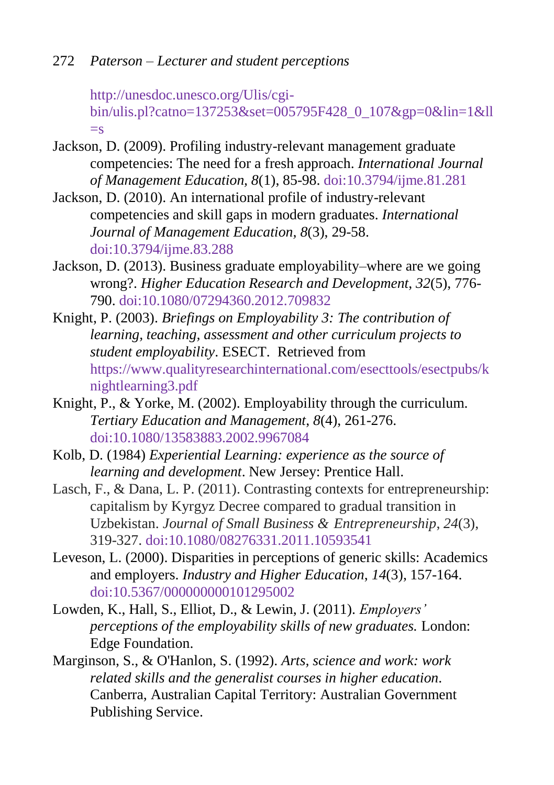## 272 *Paterson – Lecturer and student perceptions*

```
http://unesdoc.unesco.org/Ulis/cgi-
bin/ulis.pl?catno=137253&set=005795F428_0_107&gp=0&lin=1&ll
\equivs
```
- <span id="page-32-0"></span>Jackson, D. (2009). Profiling industry-relevant management graduate competencies: The need for a fresh approach. *International Journal of Management Education, 8*(1), 85-98. doi[:10.3794/ijme.81.281](http://dx.doi.org/10.3794/ijme.81.281)
- <span id="page-32-6"></span>Jackson, D. (2010). An international profile of industry-relevant competencies and skill gaps in modern graduates. *International Journal of Management Education, 8*(3), 29-58. doi[:10.3794/ijme.83.288](http://dx.doi.org/10.3794/ijme.83.288)
- <span id="page-32-4"></span>Jackson, D. (2013). Business graduate employability–where are we going wrong?. *Higher Education Research and Development*, *32*(5), 776- 790. doi[:10.1080/07294360.2012.709832](http://dx.doi.org/10.1080/07294360.2012.709832)
- <span id="page-32-7"></span>Knight, P. (2003). *Briefings on Employability 3: The contribution of learning, teaching, assessment and other curriculum projects to student employability*. ESECT. Retrieved from [https://www.qualityresearchinternational.com/esecttools/esectpubs/k](https://www.qualityresearchinternational.com/esecttools/esectpubs/knightlearning3.pdf) [nightlearning3.pdf](https://www.qualityresearchinternational.com/esecttools/esectpubs/knightlearning3.pdf)
- <span id="page-32-1"></span>Knight, P., & Yorke, M. (2002). Employability through the curriculum. *Tertiary Education and Management*, *8*(4), 261-276. doi[:10.1080/13583883.2002.9967084](http://dx.doi.org/10.1080/13583883.2002.9967084)
- <span id="page-32-8"></span>Kolb, D. (1984) *Experiential Learning: experience as the source of learning and development*. New Jersey: Prentice Hall.
- <span id="page-32-5"></span>Lasch, F., & Dana, L. P. (2011). Contrasting contexts for entrepreneurship: capitalism by Kyrgyz Decree compared to gradual transition in Uzbekistan. *Journal of Small Business & Entrepreneurship*, *24*(3), 319-327. doi[:10.1080/08276331.2011.10593541](http://dx.doi.org/10.1080/08276331.2011.10593541)
- <span id="page-32-2"></span>Leveson, L. (2000). Disparities in perceptions of generic skills: Academics and employers. *Industry and Higher Education*, *14*(3), 157-164. doi[:10.5367/000000000101295002](http://dx.doi.org/10.5367/000000000101295002)
- <span id="page-32-9"></span>Lowden, K., Hall, S., Elliot, D., & Lewin, J. (2011). *Employers' perceptions of the employability skills of new graduates.* London: Edge Foundation.
- <span id="page-32-3"></span>Marginson, S., & O'Hanlon, S. (1992). *Arts, science and work: work related skills and the generalist courses in higher education*. Canberra, Australian Capital Territory: Australian Government Publishing Service.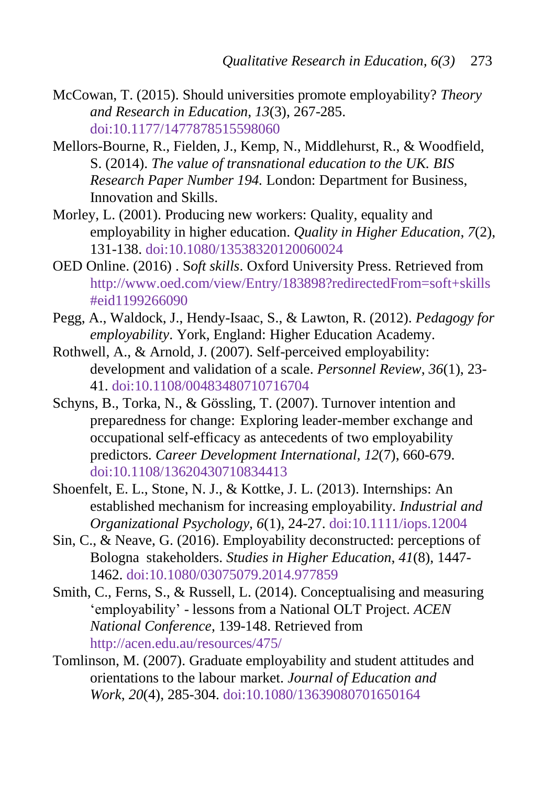- <span id="page-33-8"></span>McCowan, T. (2015). Should universities promote employability? *Theory and Research in Education*, *13*(3), 267-285. doi[:10.1177/1477878515598060](http://dx.doi.org/10.1177/1477878515598060)
- <span id="page-33-5"></span>Mellors-Bourne, R., Fielden, J., Kemp, N., Middlehurst, R., & Woodfield, S. (2014). *The value of transnational education to the UK. BIS Research Paper Number 194.* London: Department for Business, Innovation and Skills.
- <span id="page-33-0"></span>Morley, L. (2001). Producing new workers: Quality, equality and employability in higher education. *Quality in Higher Education*, *7*(2), 131-138. doi[:10.1080/13538320120060024](http://dx.doi.org/10.1080/13538320120060024)
- <span id="page-33-1"></span>OED Online. (2016) . S*oft skills*. Oxford University Press. Retrieved from [http://www.oed.com/view/Entry/183898?redirectedFrom=soft+skills](http://www.oed.com/view/Entry/183898?redirectedFrom=soft+skills#eid1199266090) [#eid1199266090](http://www.oed.com/view/Entry/183898?redirectedFrom=soft+skills#eid1199266090)
- <span id="page-33-9"></span>Pegg, A., Waldock, J., Hendy-Isaac, S., & Lawton, R. (2012). *Pedagogy for employability*. York, England: Higher Education Academy.
- <span id="page-33-3"></span>Rothwell, A., & Arnold, J. (2007). Self-perceived employability: development and validation of a scale. *Personnel Review*, *36*(1), 23- 41. doi[:10.1108/00483480710716704](http://dx.doi.org/10.1108/00483480710716704)
- <span id="page-33-6"></span>Schyns, B., Torka, N., & Gössling, T. (2007). Turnover intention and preparedness for change: Exploring leader-member exchange and occupational self-efficacy as antecedents of two employability predictors. *Career Development International, 12*(7), 660-679. doi[:10.1108/13620430710834413](http://dx.doi.org/10.1108/13620430710834413)
- <span id="page-33-10"></span>Shoenfelt, E. L., Stone, N. J., & Kottke, J. L. (2013). Internships: An established mechanism for increasing employability. *Industrial and Organizational Psychology, 6*(1), 24-27. doi[:10.1111/iops.12004](http://dx.doi.org/10.1111/iops.12004)
- <span id="page-33-7"></span>Sin, C., & Neave, G. (2016). Employability deconstructed: perceptions of Bologna stakeholders. *Studies in Higher Education*, *41*(8), 1447- 1462. doi[:10.1080/03075079.2014.977859](http://dx.doi.org/10.1080/03075079.2014.977859)
- <span id="page-33-2"></span>Smith, C., Ferns, S., & Russell, L. (2014). Conceptualising and measuring 'employability' - lessons from a National OLT Project. *ACEN National Conference,* 139-148. Retrieved from <http://acen.edu.au/resources/475/>
- <span id="page-33-4"></span>Tomlinson, M. (2007). Graduate employability and student attitudes and orientations to the labour market. *Journal of Education and Work*, *20*(4), 285-304. doi[:10.1080/13639080701650164](http://dx.doi.org/10.1080/13639080701650164)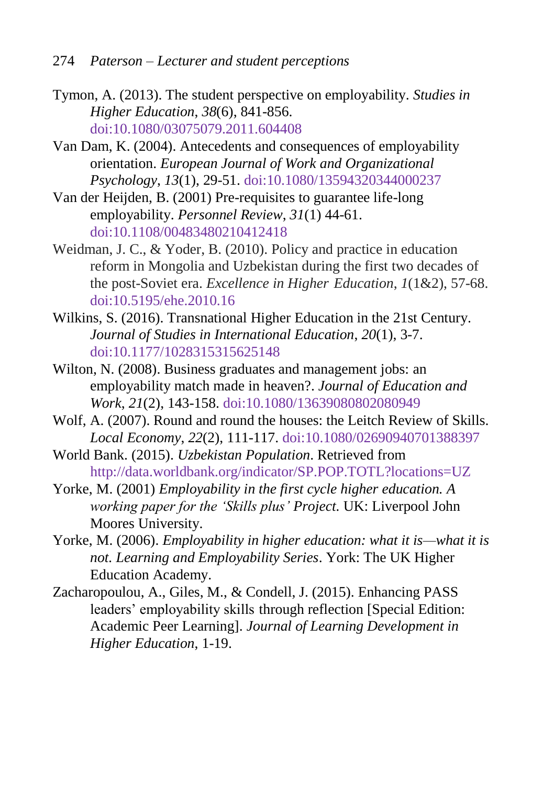- <span id="page-34-0"></span>Tymon, A. (2013). The student perspective on employability. *Studies in Higher Education*, *38*(6), 841-856. doi[:10.1080/03075079.2011.604408](http://dx.doi.org/10.1080/03075079.2011.604408)
- <span id="page-34-5"></span>Van Dam, K. (2004). Antecedents and consequences of employability orientation. *European Journal of Work and Organizational Psychology*, *13*(1), 29-51. doi[:10.1080/13594320344000237](http://dx.doi.org/10.1080/13594320344000237)
- <span id="page-34-1"></span>Van der Heijden, B. (2001) Pre-requisites to guarantee life-long employability. *Personnel Review*, *31*(1) 44-61. doi[:10.1108/00483480210412418](http://dx.doi.org/10.1108/00483480210412418)
- <span id="page-34-8"></span>Weidman, J. C., & Yoder, B. (2010). Policy and practice in education reform in Mongolia and Uzbekistan during the first two decades of the post-Soviet era. *Excellence in Higher Education*, *1*(1&2), 57-68. doi[:10.5195/ehe.2010.16](http://dx.doi.org/10.5195/ehe.2010.16)
- Wilkins, S. (2016). Transnational Higher Education in the 21st Century. *Journal of Studies in International Education*, *20*(1), 3-7. doi[:10.1177/1028315315625148](http://dx.doi.org/10.1177/1028315315625148)
- <span id="page-34-7"></span>Wilton, N. (2008). Business graduates and management jobs: an employability match made in heaven?. *Journal of Education and Work*, *21*(2), 143-158. doi[:10.1080/13639080802080949](http://dx.doi.org/10.1080/13639080802080949)
- <span id="page-34-6"></span>Wolf, A. (2007). Round and round the houses: the Leitch Review of Skills. *Local Economy*, *22*(2), 111-117. doi[:10.1080/02690940701388397](http://dx.doi.org/10.1080/02690940701388397)
- <span id="page-34-4"></span>World Bank. (2015). *Uzbekistan Population*. Retrieved from <http://data.worldbank.org/indicator/SP.POP.TOTL?locations=UZ>
- <span id="page-34-2"></span>Yorke, M. (2001) *Employability in the first cycle higher education. A working paper for the 'Skills plus' Project.* UK: Liverpool John Moores University.
- <span id="page-34-3"></span>Yorke, M. (2006). *Employability in higher education: what it is—what it is not. Learning and Employability Series*. York: The UK Higher Education Academy.
- <span id="page-34-9"></span>Zacharopoulou, A., Giles, M., & Condell, J. (2015). Enhancing PASS leaders' employability skills through reflection [Special Edition: Academic Peer Learning]. *Journal of Learning Development in Higher Education*, 1-19.